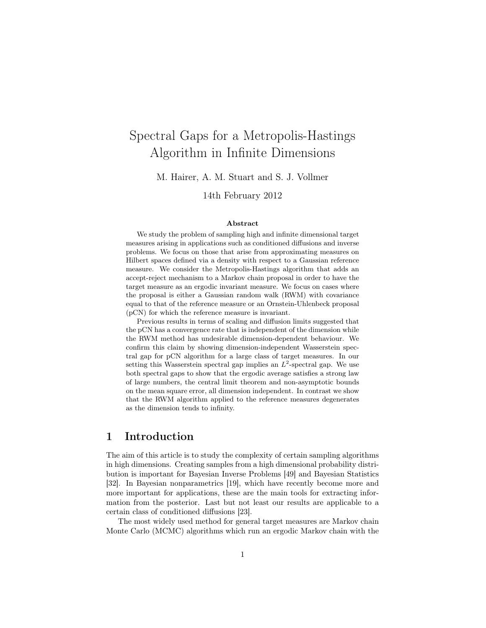# Spectral Gaps for a Metropolis-Hastings Algorithm in Infinite Dimensions

M. Hairer, A. M. Stuart and S. J. Vollmer

14th February 2012

#### Abstract

We study the problem of sampling high and infinite dimensional target measures arising in applications such as conditioned diffusions and inverse problems. We focus on those that arise from approximating measures on Hilbert spaces defined via a density with respect to a Gaussian reference measure. We consider the Metropolis-Hastings algorithm that adds an accept-reject mechanism to a Markov chain proposal in order to have the target measure as an ergodic invariant measure. We focus on cases where the proposal is either a Gaussian random walk (RWM) with covariance equal to that of the reference measure or an Ornstein-Uhlenbeck proposal (pCN) for which the reference measure is invariant.

Previous results in terms of scaling and diffusion limits suggested that the pCN has a convergence rate that is independent of the dimension while the RWM method has undesirable dimension-dependent behaviour. We confirm this claim by showing dimension-independent Wasserstein spectral gap for pCN algorithm for a large class of target measures. In our setting this Wasserstein spectral gap implies an  $L^2$ -spectral gap. We use both spectral gaps to show that the ergodic average satisfies a strong law of large numbers, the central limit theorem and non-asymptotic bounds on the mean square error, all dimension independent. In contrast we show that the RWM algorithm applied to the reference measures degenerates as the dimension tends to infinity.

# 1 Introduction

The aim of this article is to study the complexity of certain sampling algorithms in high dimensions. Creating samples from a high dimensional probability distribution is important for Bayesian Inverse Problems [49] and Bayesian Statistics [32]. In Bayesian nonparametrics [19], which have recently become more and more important for applications, these are the main tools for extracting information from the posterior. Last but not least our results are applicable to a certain class of conditioned diffusions [23].

The most widely used method for general target measures are Markov chain Monte Carlo (MCMC) algorithms which run an ergodic Markov chain with the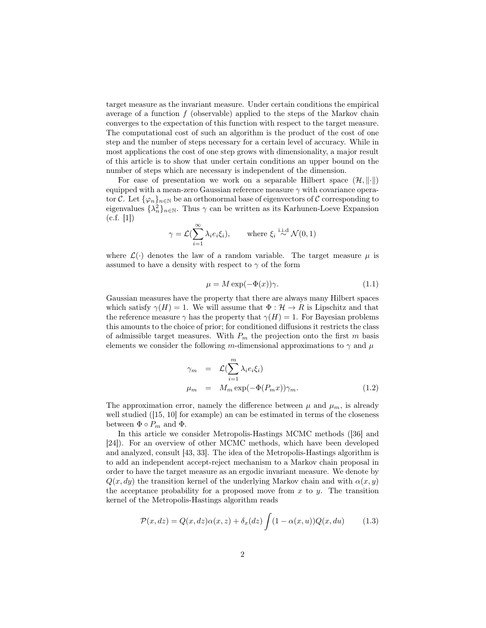target measure as the invariant measure. Under certain conditions the empirical average of a function  $f$  (observable) applied to the steps of the Markov chain converges to the expectation of this function with respect to the target measure. The computational cost of such an algorithm is the product of the cost of one step and the number of steps necessary for a certain level of accuracy. While in most applications the cost of one step grows with dimensionality, a major result of this article is to show that under certain conditions an upper bound on the number of steps which are necessary is independent of the dimension.

For ease of presentation we work on a separable Hilbert space  $(\mathcal{H}, \|\cdot\|)$ equipped with a mean-zero Gaussian reference measure  $\gamma$  with covariance operator C. Let  $\{\varphi_n\}_{n\in\mathbb{N}}$  be an orthonormal base of eigenvectors of C corresponding to eigenvalues  $\{\lambda_n^2\}_{n\in\mathbb{N}}$ . Thus  $\gamma$  can be written as its Karhunen-Loeve Expansion  $(c.f. [1])$ 

$$
\gamma = \mathcal{L}(\sum_{i=1}^{\infty} \lambda_i e_i \xi_i), \quad \text{where } \xi_i \stackrel{\text{i.i.d}}{\sim} \mathcal{N}(0, 1)
$$

where  $\mathcal{L}(\cdot)$  denotes the law of a random variable. The target measure  $\mu$  is assumed to have a density with respect to  $\gamma$  of the form

$$
\mu = M \exp(-\Phi(x))\gamma. \tag{1.1}
$$

Gaussian measures have the property that there are always many Hilbert spaces which satisfy  $\gamma(H) = 1$ . We will assume that  $\Phi : \mathcal{H} \to R$  is Lipschitz and that the reference measure  $\gamma$  has the property that  $\gamma(H) = 1$ . For Bayesian problems this amounts to the choice of prior; for conditioned diffusions it restricts the class of admissible target measures. With  $P_m$  the projection onto the first m basis elements we consider the following m-dimensional approximations to  $\gamma$  and  $\mu$ 

$$
\gamma_m = \mathcal{L}(\sum_{i=1}^m \lambda_i e_i \xi_i)
$$
  
\n
$$
\mu_m = M_m \exp(-\Phi(P_m x)) \gamma_m.
$$
\n(1.2)

The approximation error, namely the difference between  $\mu$  and  $\mu_m$ , is already well studied ([15, 10] for example) an can be estimated in terms of the closeness between  $\Phi \circ P_m$  and  $\Phi$ .

In this article we consider Metropolis-Hastings MCMC methods ([36] and [24]). For an overview of other MCMC methods, which have been developed and analyzed, consult [43, 33]. The idea of the Metropolis-Hastings algorithm is to add an independent accept-reject mechanism to a Markov chain proposal in order to have the target measure as an ergodic invariant measure. We denote by  $Q(x, dy)$  the transition kernel of the underlying Markov chain and with  $\alpha(x, y)$ the acceptance probability for a proposed move from  $x$  to  $y$ . The transition kernel of the Metropolis-Hastings algorithm reads

$$
\mathcal{P}(x, dz) = Q(x, dz)\alpha(x, z) + \delta_x(dz) \int (1 - \alpha(x, u))Q(x, du)
$$
 (1.3)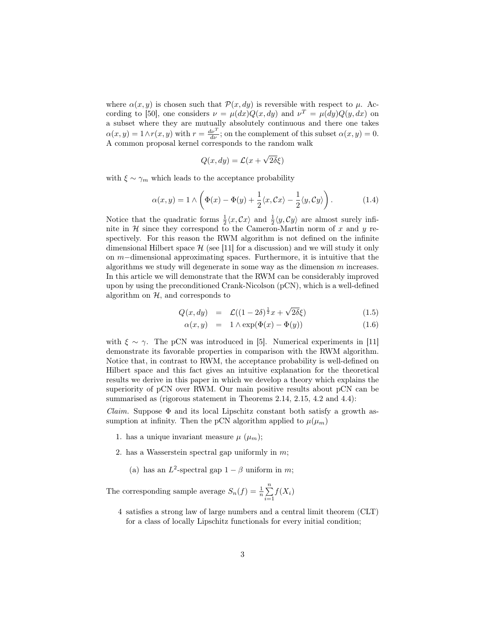where  $\alpha(x, y)$  is chosen such that  $\mathcal{P}(x, dy)$  is reversible with respect to  $\mu$ . According to [50], one considers  $\nu = \mu(dx)Q(x, dy)$  and  $\nu^T = \mu(dy)Q(y, dx)$  on a subset where they are mutually absolutely continuous and there one takes  $\alpha(x, y) = 1 \wedge r(x, y)$  with  $r = \frac{d\nu^T}{d\nu}$ ; on the complement of this subset  $\alpha(x, y) = 0$ . A common proposal kernel corresponds to the random walk

$$
Q(x, dy) = \mathcal{L}(x + \sqrt{2\delta}\xi)
$$

with  $\xi \sim \gamma_m$  which leads to the acceptance probability

$$
\alpha(x,y) = 1 \wedge \left( \Phi(x) - \Phi(y) + \frac{1}{2} \langle x, \mathcal{C}x \rangle - \frac{1}{2} \langle y, \mathcal{C}y \rangle \right). \tag{1.4}
$$

Notice that the quadratic forms  $\frac{1}{2}\langle x, Cx \rangle$  and  $\frac{1}{2}\langle y, Cy \rangle$  are almost surely infinite in  $H$  since they correspond to the Cameron-Martin norm of x and y respectively. For this reason the RWM algorithm is not defined on the infinite dimensional Hilbert space  $\mathcal{H}$  (see [11] for a discussion) and we will study it only on m−dimensional approximating spaces. Furthermore, it is intuitive that the algorithms we study will degenerate in some way as the dimension  $m$  increases. In this article we will demonstrate that the RWM can be considerably improved upon by using the preconditioned Crank-Nicolson (pCN), which is a well-defined algorithm on  $H$ , and corresponds to

$$
Q(x, dy) = \mathcal{L}((1 - 2\delta)^{\frac{1}{2}}x + \sqrt{2\delta}\xi)
$$
 (1.5)

$$
\alpha(x, y) = 1 \wedge \exp(\Phi(x) - \Phi(y)) \tag{1.6}
$$

with  $\xi \sim \gamma$ . The pCN was introduced in [5]. Numerical experiments in [11] demonstrate its favorable properties in comparison with the RWM algorithm. Notice that, in contrast to RWM, the acceptance probability is well-defined on Hilbert space and this fact gives an intuitive explanation for the theoretical results we derive in this paper in which we develop a theory which explains the superiority of pCN over RWM. Our main positive results about pCN can be summarised as (rigorous statement in Theorems 2.14, 2.15, 4.2 and 4.4):

Claim. Suppose  $\Phi$  and its local Lipschitz constant both satisfy a growth assumption at infinity. Then the pCN algorithm applied to  $\mu(\mu_m)$ 

- 1. has a unique invariant measure  $\mu$   $(\mu_m)$ ;
- 2. has a Wasserstein spectral gap uniformly in  $m$ ;
	- (a) has an  $L^2$ -spectral gap  $1 \beta$  uniform in m;

The corresponding sample average  $S_n(f) = \frac{1}{n} \sum_{n=1}^{n}$  $\sum_{i=1} f(X_i)$ 

4 satisfies a strong law of large numbers and a central limit theorem (CLT) for a class of locally Lipschitz functionals for every initial condition;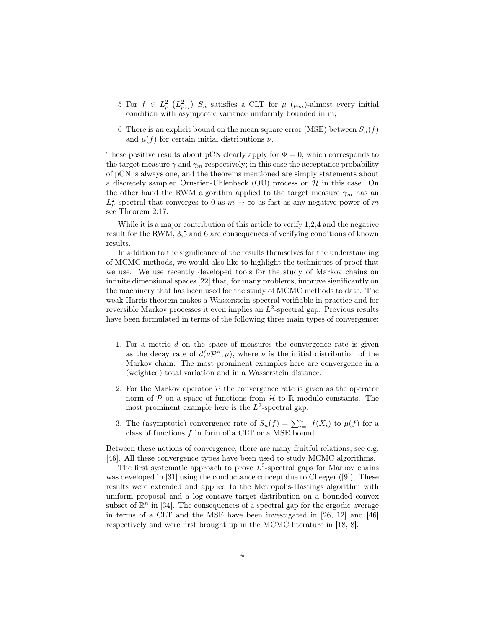- 5 For  $f \in L^2_{\mu}$   $(L^2_{\mu_m})$   $S_n$  satisfies a CLT for  $\mu$   $(\mu_m)$ -almost every initial condition with asymptotic variance uniformly bounded in m;
- 6 There is an explicit bound on the mean square error (MSE) between  $S_n(f)$ and  $\mu(f)$  for certain initial distributions  $\nu$ .

These positive results about pCN clearly apply for  $\Phi = 0$ , which corresponds to the target measure  $\gamma$  and  $\gamma_m$  respectively; in this case the acceptance probability of pCN is always one, and the theorems mentioned are simply statements about a discretely sampled Ornstien-Uhlenbeck (OU) process on  $H$  in this case. On the other hand the RWM algorithm applied to the target measure  $\gamma_m$  has an  $L^2_\mu$  spectral that converges to 0 as  $m \to \infty$  as fast as any negative power of m see Theorem 2.17.

While it is a major contribution of this article to verify 1,2,4 and the negative result for the RWM, 3,5 and 6 are consequences of verifying conditions of known results.

In addition to the significance of the results themselves for the understanding of MCMC methods, we would also like to highlight the techniques of proof that we use. We use recently developed tools for the study of Markov chains on infinite dimensional spaces [22] that, for many problems, improve significantly on the machinery that has been used for the study of MCMC methods to date. The weak Harris theorem makes a Wasserstein spectral verifiable in practice and for reversible Markov processes it even implies an  $L^2$ -spectral gap. Previous results have been formulated in terms of the following three main types of convergence:

- 1. For a metric d on the space of measures the convergence rate is given as the decay rate of  $d(\nu \mathcal{P}^n, \mu)$ , where  $\nu$  is the initial distribution of the Markov chain. The most prominent examples here are convergence in a (weighted) total variation and in a Wasserstein distance.
- 2. For the Markov operator  $P$  the convergence rate is given as the operator norm of  $P$  on a space of functions from  $H$  to  $\mathbb R$  modulo constants. The most prominent example here is the  $L^2$ -spectral gap.
- 3. The (asymptotic) convergence rate of  $S_n(f) = \sum_{i=1}^n f(X_i)$  to  $\mu(f)$  for a class of functions f in form of a CLT or a MSE bound.

Between these notions of convergence, there are many fruitful relations, see e.g. [46]. All these convergence types have been used to study MCMC algorithms.

The first systematic approach to prove  $L^2$ -spectral gaps for Markov chains was developed in [31] using the conductance concept due to Cheeger ([9]). These results were extended and applied to the Metropolis-Hastings algorithm with uniform proposal and a log-concave target distribution on a bounded convex subset of  $\mathbb{R}^n$  in [34]. The consequences of a spectral gap for the ergodic average in terms of a CLT and the MSE have been investigated in [26, 12] and [46] respectively and were first brought up in the MCMC literature in [18, 8].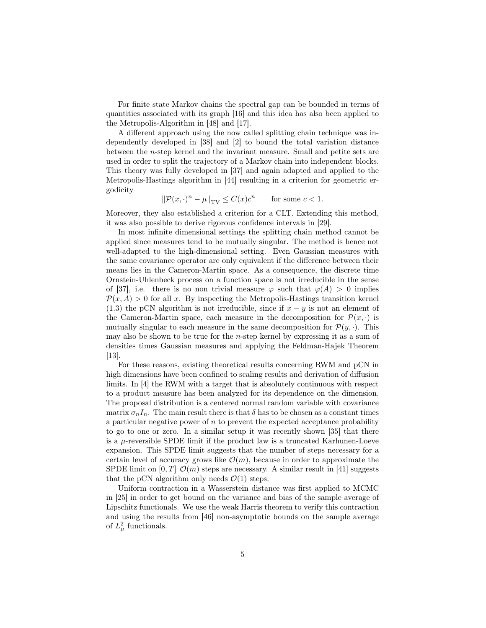For finite state Markov chains the spectral gap can be bounded in terms of quantities associated with its graph [16] and this idea has also been applied to the Metropolis-Algorithm in [48] and [17].

A different approach using the now called splitting chain technique was independently developed in [38] and [2] to bound the total variation distance between the n-step kernel and the invariant measure. Small and petite sets are used in order to split the trajectory of a Markov chain into independent blocks. This theory was fully developed in [37] and again adapted and applied to the Metropolis-Hastings algorithm in [44] resulting in a criterion for geometric ergodicity

$$
\|\mathcal{P}(x,\cdot)^n - \mu\|_{\text{TV}} \le C(x)c^n \qquad \text{for some } c < 1.
$$

Moreover, they also established a criterion for a CLT. Extending this method, it was also possible to derive rigorous confidence intervals in [29].

In most infinite dimensional settings the splitting chain method cannot be applied since measures tend to be mutually singular. The method is hence not well-adapted to the high-dimensional setting. Even Gaussian measures with the same covariance operator are only equivalent if the difference between their means lies in the Cameron-Martin space. As a consequence, the discrete time Ornstein-Uhlenbeck process on a function space is not irreducible in the sense of [37], i.e. there is no non trivial measure  $\varphi$  such that  $\varphi(A) > 0$  implies  $\mathcal{P}(x, A) > 0$  for all x. By inspecting the Metropolis-Hastings transition kernel (1.3) the pCN algorithm is not irreducible, since if  $x - y$  is not an element of the Cameron-Martin space, each measure in the decomposition for  $\mathcal{P}(x, \cdot)$  is mutually singular to each measure in the same decomposition for  $\mathcal{P}(y, \cdot)$ . This may also be shown to be true for the n-step kernel by expressing it as a sum of densities times Gaussian measures and applying the Feldman-Hajek Theorem [13].

For these reasons, existing theoretical results concerning RWM and pCN in high dimensions have been confined to scaling results and derivation of diffusion limits. In [4] the RWM with a target that is absolutely continuous with respect to a product measure has been analyzed for its dependence on the dimension. The proposal distribution is a centered normal random variable with covariance matrix  $\sigma_n I_n$ . The main result there is that  $\delta$  has to be chosen as a constant times a particular negative power of  $n$  to prevent the expected acceptance probability to go to one or zero. In a similar setup it was recently shown [35] that there is a  $\mu$ -reversible SPDE limit if the product law is a truncated Karhunen-Loeve expansion. This SPDE limit suggests that the number of steps necessary for a certain level of accuracy grows like  $\mathcal{O}(m)$ , because in order to approximate the SPDE limit on  $[0, T]$   $\mathcal{O}(m)$  steps are necessary. A similar result in [41] suggests that the pCN algorithm only needs  $\mathcal{O}(1)$  steps.

Uniform contraction in a Wasserstein distance was first applied to MCMC in [25] in order to get bound on the variance and bias of the sample average of Lipschitz functionals. We use the weak Harris theorem to verify this contraction and using the results from [46] non-asymptotic bounds on the sample average of  $L^2_\mu$  functionals.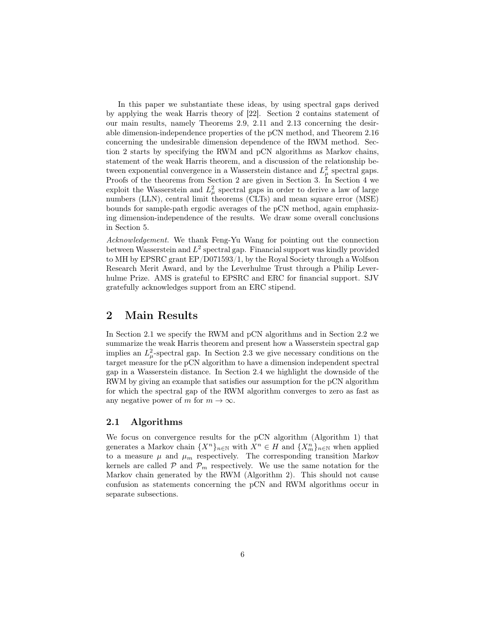In this paper we substantiate these ideas, by using spectral gaps derived by applying the weak Harris theory of [22]. Section 2 contains statement of our main results, namely Theorems 2.9, 2.11 and 2.13 concerning the desirable dimension-independence properties of the pCN method, and Theorem 2.16 concerning the undesirable dimension dependence of the RWM method. Section 2 starts by specifying the RWM and pCN algorithms as Markov chains, statement of the weak Harris theorem, and a discussion of the relationship between exponential convergence in a Wasserstein distance and  $L^2_{\mu}$  spectral gaps. Proofs of the theorems from Section 2 are given in Section 3. In Section 4 we exploit the Wasserstein and  $L^2_\mu$  spectral gaps in order to derive a law of large numbers (LLN), central limit theorems (CLTs) and mean square error (MSE) bounds for sample-path ergodic averages of the pCN method, again emphasizing dimension-independence of the results. We draw some overall conclusions in Section 5.

Acknowledgement. We thank Feng-Yu Wang for pointing out the connection between Wasserstein and  $L^2$  spectral gap. Financial support was kindly provided to MH by EPSRC grant EP/D071593/1, by the Royal Society through a Wolfson Research Merit Award, and by the Leverhulme Trust through a Philip Leverhulme Prize. AMS is grateful to EPSRC and ERC for financial support. SJV gratefully acknowledges support from an ERC stipend.

# 2 Main Results

In Section 2.1 we specify the RWM and pCN algorithms and in Section 2.2 we summarize the weak Harris theorem and present how a Wasserstein spectral gap implies an  $L^2_\mu$ -spectral gap. In Section 2.3 we give necessary conditions on the target measure for the pCN algorithm to have a dimension independent spectral gap in a Wasserstein distance. In Section 2.4 we highlight the downside of the RWM by giving an example that satisfies our assumption for the pCN algorithm for which the spectral gap of the RWM algorithm converges to zero as fast as any negative power of m for  $m \to \infty$ .

## 2.1 Algorithms

We focus on convergence results for the pCN algorithm (Algorithm 1) that generates a Markov chain  $\{X^n\}_{n\in\mathbb{N}}$  with  $X^n \in H$  and  $\{X_m^n\}_{n\in\mathbb{N}}$  when applied to a measure  $\mu$  and  $\mu_m$  respectively. The corresponding transition Markov kernels are called  $P$  and  $P_m$  respectively. We use the same notation for the Markov chain generated by the RWM (Algorithm 2). This should not cause confusion as statements concerning the pCN and RWM algorithms occur in separate subsections.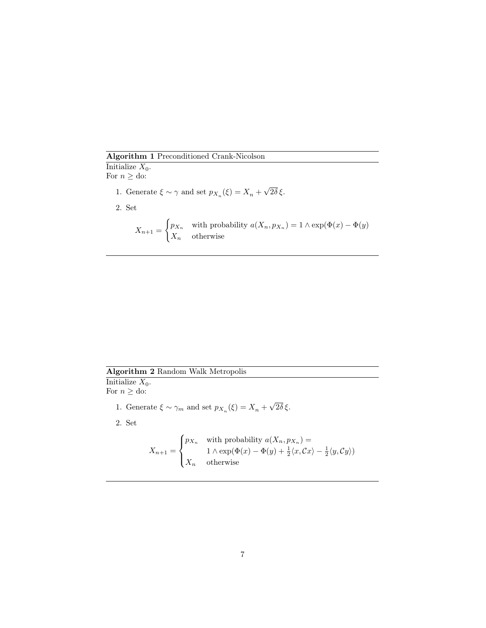Algorithm 1 Preconditioned Crank-Nicolson

Initialize  $X_0$ . For  $n \geq d$ o: 1. Generate  $\xi \sim \gamma$  and set  $p_{X_n}(\xi) = X_n +$ 2. Set

$$
X_{n+1} = \begin{cases} p_{X_n} & \text{with probability } a(X_n, p_{X_n}) = 1 \land \exp(\Phi(x) - \Phi(y)) \\ X_n & \text{otherwise} \end{cases}
$$

√ 2δ ξ.

Algorithm 2 Random Walk Metropolis

Initialize  $X_0$ . For  $n \geq d$ o:

> 1. Generate  $\xi \sim \gamma_m$  and set  $p_{X_n}(\xi) = X_n +$ √ 2δ ξ.

2. Set

$$
X_{n+1} = \begin{cases} p_{X_n} & \text{with probability } a(X_n, p_{X_n}) = \\ 1 \wedge \exp(\Phi(x) - \Phi(y) + \frac{1}{2} \langle x, Cx \rangle - \frac{1}{2} \langle y, Cy \rangle) \\ X_n & \text{otherwise} \end{cases}
$$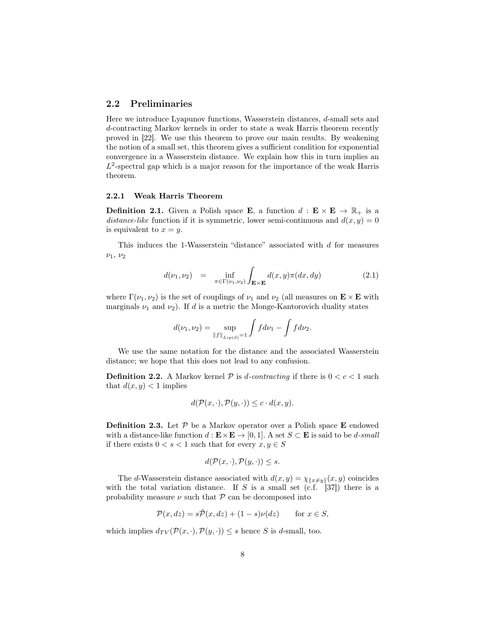## 2.2 Preliminaries

Here we introduce Lyapunov functions, Wasserstein distances, d-small sets and d-contracting Markov kernels in order to state a weak Harris theorem recently proved in [22]. We use this theorem to prove our main results. By weakening the notion of a small set, this theorem gives a sufficient condition for exponential convergence in a Wasserstein distance. We explain how this in turn implies an  $L^2$ -spectral gap which is a major reason for the importance of the weak Harris theorem.

#### 2.2.1 Weak Harris Theorem

**Definition 2.1.** Given a Polish space **E**, a function  $d : \mathbf{E} \times \mathbf{E} \to \mathbb{R}_+$  is a distance-like function if it is symmetric, lower semi-continuous and  $d(x, y) = 0$ is equivalent to  $x = y$ .

This induces the 1-Wasserstein "distance" associated with d for measures  $\nu_1, \nu_2$ 

$$
d(\nu_1, \nu_2) = \inf_{\pi \in \Gamma(\nu_1, \nu_2)} \int_{\mathbf{E} \times \mathbf{E}} d(x, y) \pi(dx, dy) \tag{2.1}
$$

where  $\Gamma(\nu_1, \nu_2)$  is the set of couplings of  $\nu_1$  and  $\nu_2$  (all measures on  $\mathbf{E} \times \mathbf{E}$  with marginals  $\nu_1$  and  $\nu_2$ ). If d is a metric the Monge-Kantorovich duality states

$$
d(\nu_1, \nu_2) = \sup_{\|f\|_{Lip(d)}=1} \int f d\nu_1 - \int f d\nu_2.
$$

We use the same notation for the distance and the associated Wasserstein distance; we hope that this does not lead to any confusion.

**Definition 2.2.** A Markov kernel P is d-contracting if there is  $0 < c < 1$  such that  $d(x, y) < 1$  implies

$$
d(\mathcal{P}(x,\cdot),\mathcal{P}(y,\cdot)) \leq c \cdot d(x,y).
$$

**Definition 2.3.** Let  $P$  be a Markov operator over a Polish space **E** endowed with a distance-like function  $d : \mathbf{E} \times \mathbf{E} \to [0, 1]$ . A set  $S \subset \mathbf{E}$  is said to be d-small if there exists  $0 < s < 1$  such that for every  $x, y \in S$ 

$$
d(\mathcal{P}(x,\cdot),\mathcal{P}(y,\cdot))\leq s.
$$

The d-Wasserstein distance associated with  $d(x, y) = \chi_{\{x \neq y\}}(x, y)$  coincides with the total variation distance. If S is a small set  $(c.f. [37])$  there is a probability measure  $\nu$  such that  $\mathcal P$  can be decomposed into

$$
\mathcal{P}(x, dz) = s\tilde{\mathcal{P}}(x, dz) + (1 - s)\nu(dz) \quad \text{for } x \in S,
$$

which implies  $d_{TV}(\mathcal{P}(x, \cdot), \mathcal{P}(y, \cdot)) \leq s$  hence S is d-small, too.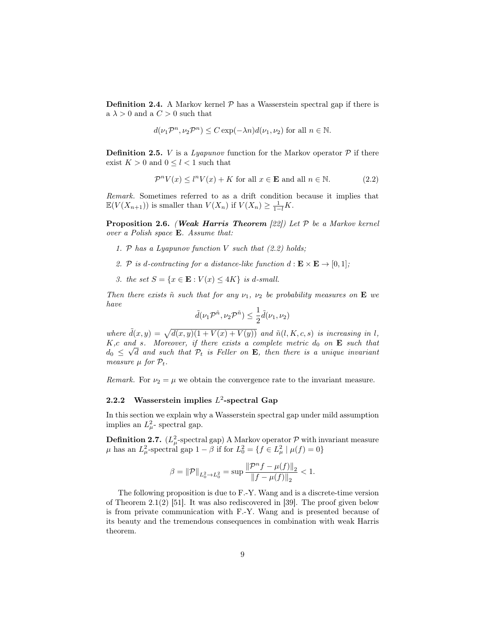**Definition 2.4.** A Markov kernel  $P$  has a Wasserstein spectral gap if there is a  $\lambda > 0$  and a  $C > 0$  such that

$$
d(\nu_1 \mathcal{P}^n, \nu_2 \mathcal{P}^n) \le C \exp(-\lambda n) d(\nu_1, \nu_2)
$$
 for all  $n \in \mathbb{N}$ .

**Definition 2.5.** *V* is a *Lyapunov* function for the Markov operator  $P$  if there exist  $K > 0$  and  $0 \leq l < 1$  such that

$$
\mathcal{P}^n V(x) \le l^n V(x) + K \text{ for all } x \in \mathbf{E} \text{ and all } n \in \mathbb{N}.
$$
 (2.2)

Remark. Sometimes referred to as a drift condition because it implies that  $\mathbb{E}(V(X_{n+1}))$  is smaller than  $V(X_n)$  if  $V(X_n) \geq \frac{1}{1-l}K$ .

**Proposition 2.6.** (Weak Harris Theorem [22]) Let  $\mathcal{P}$  be a Markov kernel over a Polish space E. Assume that:

- 1. P has a Lyapunov function V such that  $(2.2)$  holds;
- 2. P is d-contracting for a distance-like function  $d : \mathbf{E} \times \mathbf{E} \to [0, 1];$
- 3. the set  $S = \{x \in \mathbf{E} : V(x) \le 4K\}$  is d-small.

Then there exists  $\tilde{n}$  such that for any  $\nu_1$ ,  $\nu_2$  be probability measures on **E** we have

$$
\tilde{d}(\nu_1 \mathcal{P}^{\tilde{n}}, \nu_2 \mathcal{P}^{\tilde{n}}) \leq \frac{1}{2} \tilde{d}(\nu_1, \nu_2)
$$

where  $\tilde{d}(x, y) = \sqrt{d(x, y)(1 + V(x) + V(y))}$  and  $\tilde{n}(l, K, c, s)$  is increasing in l, K,c and s. Moreover, if there exists a complete metric  $d_0$  on **E** such that  $d_0 \leq \sqrt{d}$  and such that  $\mathcal{P}_t$  is Feller on **E**, then there is a unique invariant measure  $\mu$  for  $\mathcal{P}_t$ .

Remark. For  $\nu_2 = \mu$  we obtain the convergence rate to the invariant measure.

## 2.2.2 Wasserstein implies  $L^2$ -spectral Gap

In this section we explain why a Wasserstein spectral gap under mild assumption implies an  $L^2_{\mu}$ - spectral gap.

**Definition 2.7.** ( $L^2_\mu$ -spectral gap) A Markov operator  $\mathcal P$  with invariant measure  $\mu$  has an  $L^2_{\mu}$ -spectral gap  $1 - \beta$  if for  $L^2_0 = \{ f \in L^2_{\mu} \mid \mu(f) = 0 \}$ 

$$
\beta = \|\mathcal{P}\|_{L^2_0 \to L^2_0} = \sup \frac{\|\mathcal{P}^n f - \mu(f)\|_2}{\|f - \mu(f)\|_2} < 1.
$$

The following proposition is due to F.-Y. Wang and is a discrete-time version of Theorem 2.1(2) [51]. It was also rediscovered in [39]. The proof given below is from private communication with F.-Y. Wang and is presented because of its beauty and the tremendous consequences in combination with weak Harris theorem.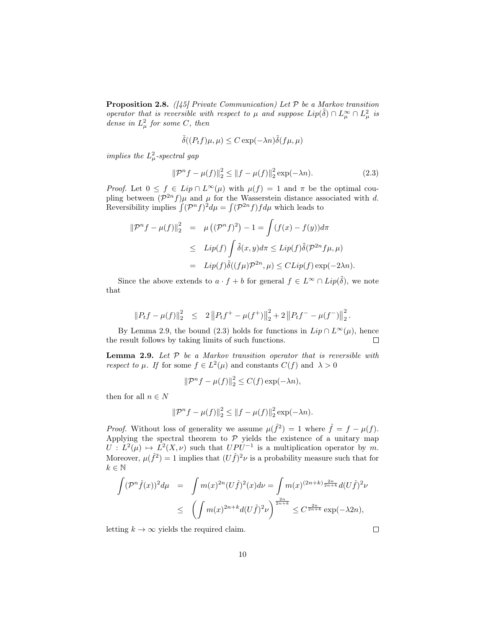**Proposition 2.8.** ([45] Private Communication) Let  $P$  be a Markov transition operator that is reversible with respect to  $\mu$  and suppose  $Lip(\tilde{\delta}) \cap L^{\infty}_{\mu} \cap L^{2}_{\mu}$  is dense in  $L^2_\mu$  for some C, then

$$
\tilde{\delta}((P_t f)\mu, \mu) \le C \exp(-\lambda n) \tilde{\delta}(f\mu, \mu)
$$

implies the  $L^2_\mu$ -spectral gap

$$
\|\mathcal{P}^n f - \mu(f)\|_2^2 \le \|f - \mu(f)\|_2^2 \exp(-\lambda n). \tag{2.3}
$$

*Proof.* Let  $0 \leq f \in Lip \cap L^{\infty}(\mu)$  with  $\mu(f) = 1$  and  $\pi$  be the optimal coupling between  $(\mathcal{P}^{2n} f) \mu$  and  $\mu$  for the Wasserstein distance associated with d. Reversibility implies  $\int (\mathcal{P}^n f)^2 d\mu = \int (\mathcal{P}^{2n} f) f d\mu$  which leads to

$$
\|\mathcal{P}^n f - \mu(f)\|_2^2 = \mu ((\mathcal{P}^n f)^2) - 1 = \int (f(x) - f(y))d\pi
$$
  

$$
\leq Lip(f) \int \tilde{\delta}(x, y)d\pi \leq Lip(f)\tilde{\delta}(\mathcal{P}^{2n} f \mu, \mu)
$$
  

$$
= Lip(f)\tilde{\delta}((f\mu)\mathcal{P}^{2n}, \mu) \leq CLip(f) \exp(-2\lambda n).
$$

Since the above extends to  $a \cdot f + b$  for general  $f \in L^{\infty} \cap Lip(\tilde{\delta})$ , we note that

$$
||P_t f - \mu(f)||_2^2 \leq 2 ||P_t f^+ - \mu(f^+)||_2^2 + 2 ||P_t f^- - \mu(f^-)||_2^2.
$$

By Lemma 2.9, the bound (2.3) holds for functions in  $Lip \cap L^{\infty}(\mu)$ , hence the result follows by taking limits of such functions.  $\Box$ 

**Lemma 2.9.** Let  $P$  be a Markov transition operator that is reversible with respect to  $\mu$ . If for some  $f \in L^2(\mu)$  and constants  $C(f)$  and  $\lambda > 0$ 

$$
\|\mathcal{P}^n f - \mu(f)\|_2^2 \le C(f) \exp(-\lambda n),
$$

then for all  $n\in N$ 

$$
\|\mathcal{P}^n f - \mu(f)\|_2^2 \le \|f - \mu(f)\|_2^2 \exp(-\lambda n).
$$

*Proof.* Without loss of generality we assume  $\mu(\hat{f}^2) = 1$  where  $\hat{f} = f - \mu(f)$ . Applying the spectral theorem to  $P$  yields the existence of a unitary map  $U: L^2(\mu) \mapsto L^2(X, \nu)$  such that  $UPU^{-1}$  is a multiplication operator by m. Moreover,  $\mu(\hat{f}^2) = 1$  implies that  $(U\hat{f})^2 \nu$  is a probability measure such that for  $k\in\mathbb{N}$ 

$$
\int (\mathcal{P}^n \hat{f}(x))^2 d\mu = \int m(x)^{2n} (U \hat{f})^2(x) d\nu = \int m(x)^{(2n+k)\frac{2n}{2n+k}} d(U \hat{f})^2 \nu
$$
  

$$
\leq \left( \int m(x)^{2n+k} d(U \hat{f})^2 \nu \right)^{\frac{2n}{2n+k}} \leq C^{\frac{2n}{2n+k}} \exp(-\lambda 2n),
$$

letting  $k \to \infty$  yields the required claim.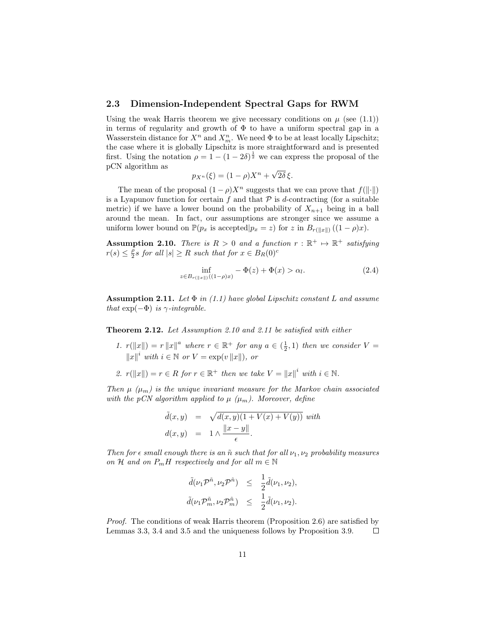## 2.3 Dimension-Independent Spectral Gaps for RWM

Using the weak Harris theorem we give necessary conditions on  $\mu$  (see (1.1)) in terms of regularity and growth of  $\Phi$  to have a uniform spectral gap in a Wasserstein distance for  $X^n$  and  $X_m^n$ . We need  $\Phi$  to be at least locally Lipschitz; the case where it is globally Lipschitz is more straightforward and is presented first. Using the notation  $\rho = 1 - (1 - 2\delta)^{\frac{1}{2}}$  we can express the proposal of the pCN algorithm as √

$$
p_{X^n}(\xi) = (1 - \rho)X^n + \sqrt{2\delta} \xi.
$$

The mean of the proposal  $(1 - \rho)X^n$  suggests that we can prove that  $f(||\cdot||)$ is a Lyapunov function for certain  $f$  and that  $P$  is d-contracting (for a suitable metric) if we have a lower bound on the probability of  $X_{n+1}$  being in a ball around the mean. In fact, our assumptions are stronger since we assume a uniform lower bound on  $\mathbb{P}(p_x \text{ is accepted} | p_x = z)$  for z in  $B_{r(||x||)}((1 - \rho)x)$ .

**Assumption 2.10.** There is  $R > 0$  and a function  $r : \mathbb{R}^+ \mapsto \mathbb{R}^+$  satisfying  $r(s) \leq \frac{\rho}{2} s$  for all  $|s| \geq R$  such that for  $x \in B_R(0)$ <sup>c</sup>

$$
\inf_{z \in B_{r(\|x\|)}((1-\rho)x)} - \Phi(z) + \Phi(x) > \alpha_l.
$$
 (2.4)

**Assumption 2.11.** Let  $\Phi$  in (1.1) have global Lipschitz constant L and assume that  $\exp(-\Phi)$  is  $\gamma$ -integrable.

Theorem 2.12. Let Assumption 2.10 and 2.11 be satisfied with either

- 1.  $r(||x||) = r ||x||^a$  where  $r \in \mathbb{R}^+$  for any  $a \in (\frac{1}{2}, 1)$  then we consider  $V =$  $||x||^i$  with  $i \in \mathbb{N}$  or  $V = \exp(v ||x||)$ , or
- 2.  $r(||x||) = r \in R$  for  $r \in \mathbb{R}^+$  then we take  $V = ||x||^i$  with  $i \in \mathbb{N}$ .

Then  $\mu$  ( $\mu$ <sub>m</sub>) is the unique invariant measure for the Markov chain associated with the pCN algorithm applied to  $\mu$  ( $\mu_m$ ). Moreover, define

$$
\tilde{d}(x, y) = \sqrt{d(x, y)(1 + V(x) + V(y))} \text{ with}
$$

$$
d(x, y) = 1 \wedge \frac{||x - y||}{\epsilon}.
$$

Then for  $\epsilon$  small enough there is an  $\tilde{n}$  such that for all  $\nu_1, \nu_2$  probability measures on H and on  $P_mH$  respectively and for all  $m \in \mathbb{N}$ 

$$
\begin{array}{rcl}\n\tilde{d}(\nu_1\mathcal{P}^{\tilde{n}},\nu_2\mathcal{P}^{\tilde{n}}) & \leq & \frac{1}{2}\tilde{d}(\nu_1,\nu_2), \\
\tilde{d}(\nu_1\mathcal{P}^{\tilde{n}}_m,\nu_2\mathcal{P}^{\tilde{n}}_m) & \leq & \frac{1}{2}\tilde{d}(\nu_1,\nu_2).\n\end{array}
$$

Proof. The conditions of weak Harris theorem (Proposition 2.6) are satisfied by Lemmas 3.3, 3.4 and 3.5 and the uniqueness follows by Proposition 3.9.  $\Box$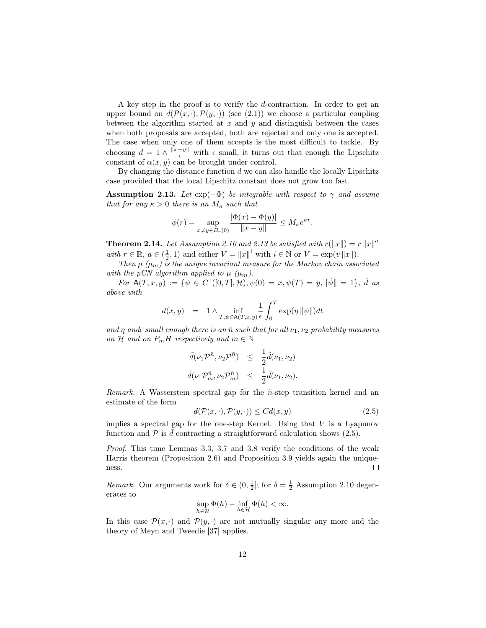A key step in the proof is to verify the d-contraction. In order to get an upper bound on  $d(\mathcal{P}(x, \cdot), \mathcal{P}(y, \cdot))$  (see (2.1)) we choose a particular coupling between the algorithm started at  $x$  and  $y$  and distinguish between the cases when both proposals are accepted, both are rejected and only one is accepted. The case when only one of them accepts is the most difficult to tackle. By choosing  $d = 1 \wedge \frac{\|x-y\|}{\epsilon}$  with  $\epsilon$  small, it turns out that enough the Lipschitz constant of  $\alpha(x, y)$  can be brought under control.

By changing the distance function  $d$  we can also handle the locally Lipschitz case provided that the local Lipschitz constant does not grow too fast.

**Assumption 2.13.** Let  $exp(-\Phi)$  be integrable with respect to  $\gamma$  and assume that for any  $\kappa > 0$  there is an  $M_{\kappa}$  such that

$$
\phi(r) = \sup_{x \neq y \in B_r(0)} \frac{|\Phi(x) - \Phi(y)|}{\|x - y\|} \leq M_{\kappa} e^{\kappa r}.
$$

**Theorem 2.14.** Let Assumption 2.10 and 2.13 be satisfied with  $r(||x||) = r ||x||^a$ with  $r \in \mathbb{R}$ ,  $a \in (\frac{1}{2}, 1)$  and either  $V = ||x||^i$  with  $i \in \mathbb{N}$  or  $V = \exp(v ||x||)$ .

Then  $\mu$  ( $\mu$ <sub>m</sub>) is the unique invariant measure for the Markov chain associated with the pCN algorithm applied to  $\mu$  ( $\mu_m$ ).

For  $\mathring{A}(T,x,y) := \{ \psi \in C^1([0,T],\mathcal{H}), \psi(0) = x, \psi(T) = y, \|\psi\| = 1 \}, \tilde{d}$  as above with

$$
d(x,y) = 1 \wedge \inf_{T,\psi \in \mathsf{A}(T,x,y)} \frac{1}{\epsilon} \int_0^T \exp(\eta \, \|\psi\|) dt
$$

and  $\eta$  and small enough there is an  $\tilde{n}$  such that for all  $\nu_1, \nu_2$  probability measures on H and on  $P_mH$  respectively and  $m \in \mathbb{N}$ 

$$
\begin{array}{rcl}\n\tilde{d}(\nu_1 \mathcal{P}^{\tilde{n}}, \nu_2 \mathcal{P}^{\tilde{n}}) & \leq & \frac{1}{2} \tilde{d}(\nu_1, \nu_2) \\
\tilde{d}(\nu_1 \mathcal{P}^{\tilde{n}}_m, \nu_2 \mathcal{P}^{\tilde{n}}_m) & \leq & \frac{1}{2} \tilde{d}(\nu_1, \nu_2).\n\end{array}
$$

Remark. A Wasserstein spectral gap for the  $\tilde{n}$ -step transition kernel and an estimate of the form

$$
d(\mathcal{P}(x,\cdot),\mathcal{P}(y,\cdot)) \leq C d(x,y) \tag{2.5}
$$

implies a spectral gap for the one-step Kernel. Using that  $V$  is a Lyapunov function and  $\mathcal P$  is  $\bar d$  contracting a straightforward calculation shows (2.5).

Proof. This time Lemmas 3.3, 3.7 and 3.8 verify the conditions of the weak Harris theorem (Proposition 2.6) and Proposition 3.9 yields again the unique- $\Box$ ness.

*Remark.* Our arguments work for  $\delta \in (0, \frac{1}{2}]$ ; for  $\delta = \frac{1}{2}$  Assumption 2.10 degenerates to

$$
\sup_{h \in \mathcal{H}} \Phi(h) - \inf_{h \in \mathcal{H}} \Phi(h) < \infty.
$$

In this case  $\mathcal{P}(x, \cdot)$  and  $\mathcal{P}(y, \cdot)$  are not mutually singular any more and the theory of Meyn and Tweedie [37] applies.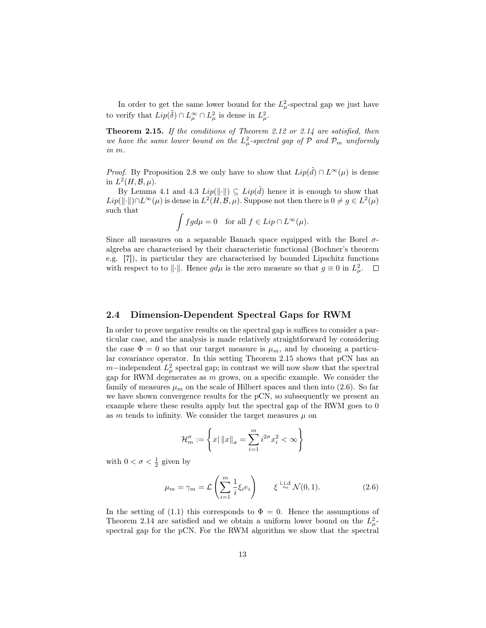In order to get the same lower bound for the  $L^2_{\mu}$ -spectral gap we just have to verify that  $Lip(\tilde{\delta}) \cap L^{\infty}_{\mu} \cap L^{2}_{\mu}$  is dense in  $L^{2}_{\mu}$ .

Theorem 2.15. If the conditions of Theorem 2.12 or 2.14 are satisfied, then we have the same lower bound on the  $L^2_\mu$ -spectral gap of  $\mathcal P$  and  $\mathcal P_m$  uniformly in m.

*Proof.* By Proposition 2.8 we only have to show that  $Lip(\tilde{d}) \cap L^{\infty}(\mu)$  is dense in  $L^2(H, \mathcal{B}, \mu)$ .

By Lemma 4.1 and 4.3  $Lip(\|\cdot\|) \subseteq Lip(\tilde{d})$  hence it is enough to show that Lip(||⋅||)∩L<sup>∞</sup>( $\mu$ ) is dense in L<sup>2</sup>(H, B,  $\mu$ ). Suppose not then there is  $0 \neq g \in L^2(\mu)$ such that

$$
\int f g d\mu = 0 \quad \text{for all } f \in Lip \cap L^{\infty}(\mu).
$$

Since all measures on a separable Banach space equipped with the Borel  $\sigma$ algreba are characterised by their characteristic functional (Bochner's theorem e.g. [7]), in particular they are characterised by bounded Lipschitz functions with respect to to  $\|\cdot\|$ . Hence  $gd\mu$  is the zero measure so that  $g \equiv 0$  in  $L^2_{\mu}$ .

## 2.4 Dimension-Dependent Spectral Gaps for RWM

In order to prove negative results on the spectral gap is suffices to consider a particular case, and the analysis is made relatively straightforward by considering the case  $\Phi = 0$  so that our target measure is  $\mu_m$ , and by choosing a particular covariance operator. In this setting Theorem 2.15 shows that pCN has an  $m$ −independent  $L^2_\mu$  spectral gap; in contrast we will now show that the spectral gap for RWM degenerates as  $m$  grows, on a specific example. We consider the family of measures  $\mu_m$  on the scale of Hilbert spaces and then into (2.6). So far we have shown convergence results for the pCN, so subsequently we present an example where these results apply but the spectral gap of the RWM goes to 0 as m tends to infinity. We consider the target measures  $\mu$  on

$$
\mathcal{H}_m^{\sigma} := \left\{ x \mid ||x||_{\sigma} = \sum_{i=1}^m i^{2\sigma} x_i^2 < \infty \right\}
$$

with  $0 < \sigma < \frac{1}{2}$  given by

$$
\mu_m = \gamma_m = \mathcal{L}\left(\sum_{i=1}^m \frac{1}{i} \xi_i e_i\right) \qquad \xi \stackrel{\text{i.i.d}}{\sim} \mathcal{N}(0, 1). \tag{2.6}
$$

In the setting of (1.1) this corresponds to  $\Phi = 0$ . Hence the assumptions of Theorem 2.14 are satisfied and we obtain a uniform lower bound on the  $L^2_{\mu}$ spectral gap for the pCN. For the RWM algorithm we show that the spectral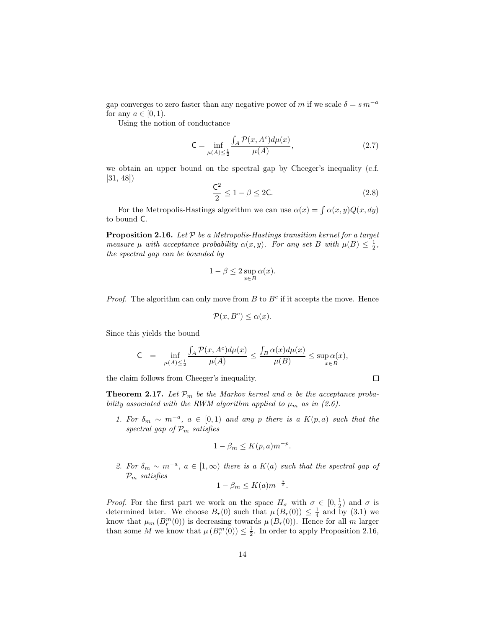gap converges to zero faster than any negative power of m if we scale  $\delta = s m^{-a}$ for any  $a \in [0, 1)$ .

Using the notion of conductance

$$
\mathsf{C} = \inf_{\mu(A) \le \frac{1}{2}} \frac{\int_A \mathcal{P}(x, A^c) d\mu(x)}{\mu(A)},\tag{2.7}
$$

we obtain an upper bound on the spectral gap by Cheeger's inequality (c.f. [31, 48])

$$
\frac{\mathsf{C}^2}{2} \le 1 - \beta \le 2\mathsf{C}.\tag{2.8}
$$

For the Metropolis-Hastings algorithm we can use  $\alpha(x) = \int \alpha(x, y) Q(x, dy)$ to bound C.

**Proposition 2.16.** Let  $P$  be a Metropolis-Hastings transition kernel for a target measure  $\mu$  with acceptance probability  $\alpha(x, y)$ . For any set B with  $\mu(B) \leq \frac{1}{2}$ , the spectral gap can be bounded by

$$
1 - \beta \le 2 \sup_{x \in B} \alpha(x).
$$

*Proof.* The algorithm can only move from  $B$  to  $B<sup>c</sup>$  if it accepts the move. Hence

$$
\mathcal{P}(x, B^c) \le \alpha(x).
$$

Since this yields the bound

$$
\mathsf{C} \;\; = \;\; \inf_{\mu(A) \leq \frac{1}{2}} \frac{\int_{A} \mathcal{P}(x, A^c) d\mu(x)}{\mu(A)} \leq \frac{\int_{B} \alpha(x) d\mu(x)}{\mu(B)} \leq \sup_{x \in B} \alpha(x),
$$

the claim follows from Cheeger's inequality.

**Theorem 2.17.** Let  $\mathcal{P}_m$  be the Markov kernel and  $\alpha$  be the acceptance probability associated with the RWM algorithm applied to  $\mu_m$  as in (2.6).

1. For  $\delta_m \sim m^{-a}$ ,  $a \in [0,1)$  and any p there is a  $K(p,a)$  such that the spectral gap of  $\mathcal{P}_m$  satisfies

$$
1 - \beta_m \le K(p, a) m^{-p}.
$$

2. For  $\delta_m \sim m^{-a}$ ,  $a \in [1,\infty)$  there is a  $K(a)$  such that the spectral gap of  $\mathcal{P}_m$  satisfies

$$
1 - \beta_m \le K(a) m^{-\frac{a}{2}}.
$$

*Proof.* For the first part we work on the space  $H_{\sigma}$  with  $\sigma \in [0, \frac{1}{2})$  and  $\sigma$  is determined later. We choose  $B_r(0)$  such that  $\mu(B_r(0)) \leq \frac{1}{4}$  and  $\tilde{b}$ y (3.1) we know that  $\mu_m(B_r^m(0))$  is decreasing towards  $\mu(B_r(0))$ . Hence for all m larger than some M we know that  $\mu(B_r^m(0)) \leq \frac{1}{2}$ . In order to apply Proposition 2.16,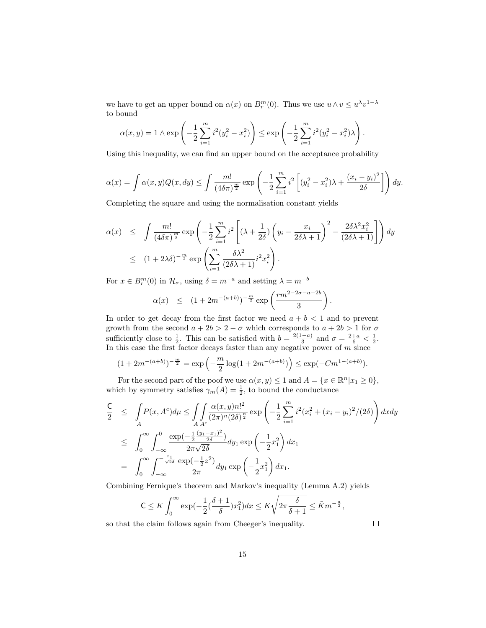we have to get an upper bound on  $\alpha(x)$  on  $B_r^m(0)$ . Thus we use  $u \wedge v \leq u^{\lambda}v^{1-\lambda}$ to bound

$$
\alpha(x,y) = 1 \wedge \exp\left(-\frac{1}{2}\sum_{i=1}^{m} i^2(y_i^2 - x_i^2)\right) \le \exp\left(-\frac{1}{2}\sum_{i=1}^{m} i^2(y_i^2 - x_i^2)\lambda\right).
$$

Using this inequality, we can find an upper bound on the acceptance probability

$$
\alpha(x) = \int \alpha(x, y) Q(x, dy) \le \int \frac{m!}{(4\delta\pi)^{\frac{m}{2}}} \exp\left(-\frac{1}{2}\sum_{i=1}^{m} i^2 \left[ (y_i^2 - x_i^2)\lambda + \frac{(x_i - y_i)^2}{2\delta} \right] \right) dy.
$$

Completing the square and using the normalisation constant yields

$$
\alpha(x) \leq \int \frac{m!}{(4\delta\pi)^{\frac{m}{2}}} \exp\left(-\frac{1}{2}\sum_{i=1}^{m} i^2 \left[ (\lambda + \frac{1}{2\delta}) \left( y_i - \frac{x_i}{2\delta\lambda + 1} \right)^2 - \frac{2\delta\lambda^2 x_i^2}{(2\delta\lambda + 1)} \right] \right) dy
$$
  
 
$$
\leq (1 + 2\lambda\delta)^{-\frac{m}{2}} \exp\left(\sum_{i=1}^{m} \frac{\delta\lambda^2}{(2\delta\lambda + 1)} i^2 x_i^2\right).
$$

For  $x \in B_r^m(0)$  in  $\mathcal{H}_\sigma$ , using  $\delta = m^{-a}$  and setting  $\lambda = m^{-b}$ 

$$
\alpha(x) \le (1 + 2m^{-(a+b)})^{-\frac{m}{2}} \exp\left(\frac{rm^{2-2\sigma - a - 2b}}{3}\right).
$$

In order to get decay from the first factor we need  $a + b < 1$  and to prevent growth from the second  $a + 2b > 2 - \sigma$  which corresponds to  $a + 2b > 1$  for  $\sigma$ sufficiently close to  $\frac{1}{2}$ . This can be satisfied with  $b = \frac{2(1-a)}{3}$  $\frac{-a)}{3}$  and  $\sigma = \frac{2+a}{6} < \frac{1}{2}$ . In this case the first factor decays faster than any negative power of  $m$  since

$$
(1 + 2m^{-(a+b)})^{-\frac{m}{2}} = \exp\left(-\frac{m}{2}\log(1 + 2m^{-(a+b)})\right) \le \exp(-Cm^{1-(a+b)}).
$$

For the second part of the poof we use  $\alpha(x, y) \leq 1$  and  $A = \{x \in \mathbb{R}^n | x_1 \geq 0\},\$ which by symmetry satisfies  $\gamma_m(A) = \frac{1}{2}$ , to bound the conductance

$$
\frac{C}{2} \leq \int_{A} P(x, A^c) d\mu \leq \int_{A} \int_{a} \frac{\alpha(x, y) n!^2}{(2\pi)^n (2\delta)^{\frac{n}{2}}} \exp\left(-\frac{1}{2} \sum_{i=1}^m i^2 (x_i^2 + (x_i - y_i)^2 / (2\delta))\right) dxdy
$$
\n
$$
\leq \int_{0}^{\infty} \int_{-\infty}^{0} \frac{\exp(-\frac{1}{2} \frac{(y_1 - x_1)^2}{2\delta})}{2\pi \sqrt{2\delta}} dy_1 \exp\left(-\frac{1}{2} x_1^2\right) dx_1
$$
\n
$$
= \int_{0}^{\infty} \int_{-\infty}^{-\frac{x_1}{\sqrt{2\delta}}} \frac{\exp(-\frac{1}{2} z^2)}{2\pi} dy_1 \exp\left(-\frac{1}{2} x_1^2\right) dx_1.
$$

Combining Fernique's theorem and Markov's inequality (Lemma A.2) yields

$$
\mathsf{C} \leq K \int_0^\infty \exp\left(-\frac{1}{2}\left(\frac{\delta+1}{\delta}\right)x_1^2\right) dx \leq K \sqrt{2\pi \frac{\delta}{\delta+1}} \leq \tilde{K}m^{-\frac{a}{2}},
$$

so that the claim follows again from Cheeger's inequality.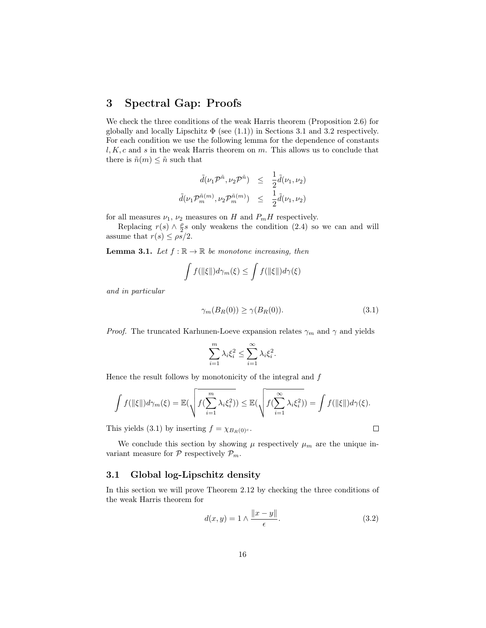# 3 Spectral Gap: Proofs

We check the three conditions of the weak Harris theorem (Proposition 2.6) for globally and locally Lipschitz  $\Phi$  (see (1.1)) in Sections 3.1 and 3.2 respectively. For each condition we use the following lemma for the dependence of constants  $l, K, c$  and s in the weak Harris theorem on m. This allows us to conclude that there is  $\tilde{n}(m) \leq \tilde{n}$  such that

$$
\tilde{d}(\nu_1 \mathcal{P}^{\tilde{n}}, \nu_2 \mathcal{P}^{\tilde{n}}) \leq \frac{1}{2} \tilde{d}(\nu_1, \nu_2)
$$
  

$$
\tilde{d}(\nu_1 \mathcal{P}^{\tilde{n}(m)}_m, \nu_2 \mathcal{P}^{\tilde{n}(m)}_m) \leq \frac{1}{2} \tilde{d}(\nu_1, \nu_2)
$$

for all measures  $\nu_1$ ,  $\nu_2$  measures on H and  $P_mH$  respectively.

Replacing  $r(s) \wedge \frac{\rho}{2}s$  only weakens the condition (2.4) so we can and will assume that  $r(s) \leq \rho s/2$ .

**Lemma 3.1.** Let  $f : \mathbb{R} \to \mathbb{R}$  be monotone increasing, then

$$
\int f(\|\xi\|)d\gamma_m(\xi) \le \int f(\|\xi\|)d\gamma(\xi)
$$

and in particular

$$
\gamma_m(B_R(0)) \ge \gamma(B_R(0)).\tag{3.1}
$$

*Proof.* The truncated Karhunen-Loeve expansion relates  $\gamma_m$  and  $\gamma$  and yields

$$
\sum_{i=1}^{m} \lambda_i \xi_i^2 \le \sum_{i=1}^{\infty} \lambda_i \xi_i^2.
$$

Hence the result follows by monotonicity of the integral and  $f$ 

$$
\int f(\|\xi\|)d\gamma_m(\xi) = \mathbb{E}(\sqrt{f(\sum_{i=1}^m \lambda_i \xi_i^2)}) \leq \mathbb{E}(\sqrt{f(\sum_{i=1}^\infty \lambda_i \xi_i^2)}) = \int f(\|\xi\|)d\gamma(\xi).
$$

This yields (3.1) by inserting  $f = \chi_{B_R(0)^c}$ .

We conclude this section by showing  $\mu$  respectively  $\mu_m$  are the unique invariant measure for  $P$  respectively  $P_m$ .

## 3.1 Global log-Lipschitz density

In this section we will prove Theorem 2.12 by checking the three conditions of the weak Harris theorem for

$$
d(x,y) = 1 \wedge \frac{\|x-y\|}{\epsilon}.\tag{3.2}
$$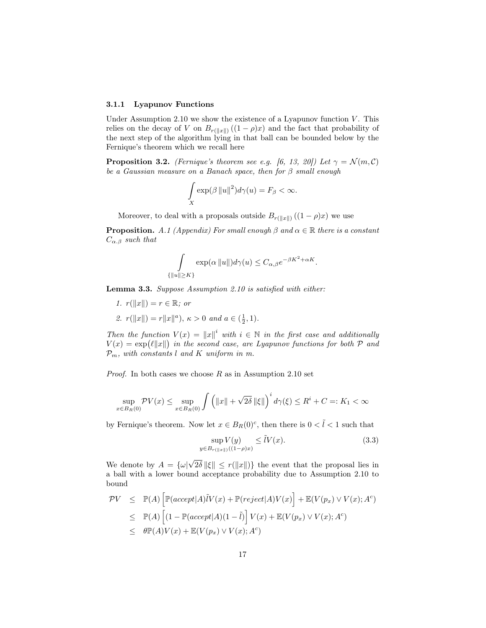#### 3.1.1 Lyapunov Functions

Under Assumption 2.10 we show the existence of a Lyapunov function  $V$ . This relies on the decay of V on  $B_{r(\Vert x\Vert)}((1 - \rho)x)$  and the fact that probability of the next step of the algorithm lying in that ball can be bounded below by the Fernique's theorem which we recall here

**Proposition 3.2.** (Fernique's theorem see e.g. [6, 13, 20]) Let  $\gamma = \mathcal{N}(m, \mathcal{C})$ be a Gaussian measure on a Banach space, then for  $\beta$  small enough

$$
\int_{X} \exp(\beta \|u\|^2) d\gamma(u) = F_{\beta} < \infty.
$$

Moreover, to deal with a proposals outside  $B_{r(\Vert x\Vert)}((1 - \rho)x)$  we use

**Proposition.** A.1 (Appendix) For small enough  $\beta$  and  $\alpha \in \mathbb{R}$  there is a constant  $C_{\alpha,\beta}$  such that

$$
\int_{\{\|u\|\geq K\}} \exp(\alpha \|u\|) d\gamma(u) \leq C_{\alpha,\beta} e^{-\beta K^2 + \alpha K}.
$$

Lemma 3.3. Suppose Assumption 2.10 is satisfied with either:

1. 
$$
r(||x||) = r \in \mathbb{R}
$$
; or  
2.  $r(||x||) = r||x||^a$ ,  $\kappa > 0$  and  $a \in (\frac{1}{2}, 1)$ .

Then the function  $V(x) = ||x||^i$  with  $i \in \mathbb{N}$  in the first case and additionally  $V(x) = \exp\left(\ell ||x||\right)$  in the second case, are Lyapunov functions for both  $\mathcal P$  and  $\mathcal{P}_m$ , with constants l and K uniform in m.

*Proof.* In both cases we choose  $R$  as in Assumption 2.10 set

$$
\sup_{x \in B_R(0)} \mathcal{P}V(x) \le \sup_{x \in B_R(0)} \int \left( ||x|| + \sqrt{2\delta} ||\xi|| \right)^i d\gamma(\xi) \le R^i + C =: K_1 < \infty
$$

by Fernique's theorem. Now let  $x \in B_R(0)^c$ , then there is  $0 < \tilde{l} < 1$  such that

$$
\sup_{y \in B_{r(\|x\|)}((1-\rho)x)} \le \tilde{l}V(x). \tag{3.3}
$$

We denote by  $A = {\omega}$ √  $2\delta \|\xi\| \leq r(\|x\|)$  the event that the proposal lies in a ball with a lower bound acceptance probability due to Assumption 2.10 to bound

$$
\begin{array}{rcl}\n\mathcal{P}V & \leq & \mathbb{P}(A) \left[ \mathbb{P}(accept|A)\tilde{l}V(x) + \mathbb{P}(reject|A)V(x) \right] + \mathbb{E}(V(p_x) \vee V(x); A^c) \\
& \leq & \mathbb{P}(A) \left[ (1 - \mathbb{P}(accept|A)(1 - \tilde{l}) \right] V(x) + \mathbb{E}(V(p_x) \vee V(x); A^c) \\
& \leq & \theta \mathbb{P}(A)V(x) + \mathbb{E}(V(p_x) \vee V(x); A^c)\n\end{array}
$$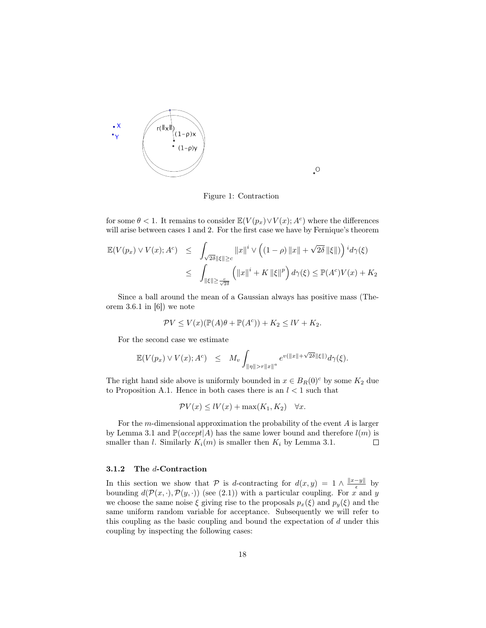

Figure 1: Contraction

 $\rm ^O$ 

for some  $\theta < 1$ . It remains to consider  $\mathbb{E}(V(p_x) \vee V(x); A^c)$  where the differences will arise between cases 1 and 2. For the first case we have by Fernique's theorem

$$
\mathbb{E}(V(p_x) \vee V(x); A^c) \leq \int_{\sqrt{2\delta} \|\xi\| \geq c} \|x\|^i \vee \left( (1-\rho) \|x\| + \sqrt{2\delta} \|\xi\| \right)^i d\gamma(\xi)
$$
  

$$
\leq \int_{\|\xi\| \geq \frac{c}{\sqrt{2\delta}}} \left( \|x\|^i + K \|\xi\|^p \right) d\gamma(\xi) \leq \mathbb{P}(A^c) V(x) + K_2
$$

Since a ball around the mean of a Gaussian always has positive mass (Theorem 3.6.1 in  $[6]$  we note

$$
\mathcal{P}V \le V(x)(\mathbb{P}(A)\theta + \mathbb{P}(A^c)) + K_2 \le IV + K_2.
$$

For the second case we estimate

$$
\mathbb{E}(V(p_x) \vee V(x); A^c) \leq M_v \int_{\|\eta\| > r \|x\|^a} e^{v(\|x\| + \sqrt{2\delta}\|\xi\|)} d\gamma(\xi).
$$

The right hand side above is uniformly bounded in  $x \in B_R(0)^c$  by some  $K_2$  due to Proposition A.1. Hence in both cases there is an  $l < 1$  such that

$$
\mathcal{P}V(x) \leq lV(x) + \max(K_1, K_2) \quad \forall x.
$$

For the  $m$ -dimensional approximation the probability of the event  $A$  is larger by Lemma 3.1 and  $\mathbb{P}(accept|A)$  has the same lower bound and therefore  $l(m)$  is smaller than *l*. Similarly  $K_i(m)$  is smaller then  $K_i$  by Lemma 3.1.  $\Box$ 

#### 3.1.2 The d-Contraction

In this section we show that P is d-contracting for  $d(x,y) = 1 \wedge \frac{||x-y||}{\epsilon}$  $\frac{-y}{\epsilon}$  by bounding  $d(\mathcal{P}(x, \cdot), \mathcal{P}(y, \cdot))$  (see (2.1)) with a particular coupling. For x and y we choose the same noise  $\xi$  giving rise to the proposals  $p_x(\xi)$  and  $p_y(\xi)$  and the same uniform random variable for acceptance. Subsequently we will refer to this coupling as the basic coupling and bound the expectation of d under this coupling by inspecting the following cases: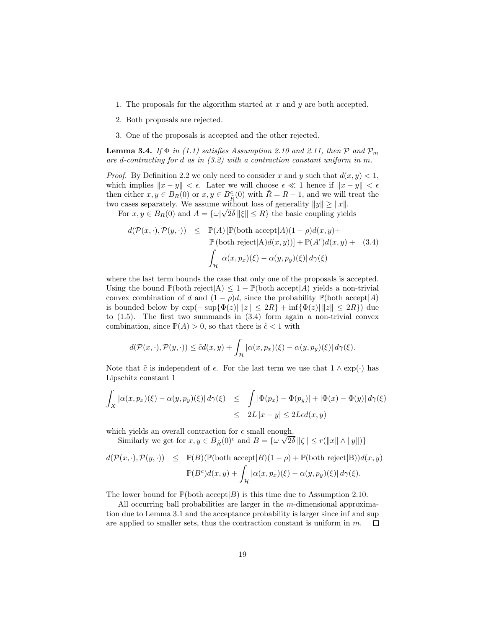- 1. The proposals for the algorithm started at  $x$  and  $y$  are both accepted.
- 2. Both proposals are rejected.
- 3. One of the proposals is accepted and the other rejected.

**Lemma 3.4.** If  $\Phi$  in (1.1) satisfies Assumption 2.10 and 2.11, then  $\mathcal{P}$  and  $\mathcal{P}_m$ are d-contracting for d as in (3.2) with a contraction constant uniform in m.

*Proof.* By Definition 2.2 we only need to consider x and y such that  $d(x, y) < 1$ , which implies  $||x - y|| < \epsilon$ . Later we will choose  $\epsilon \ll 1$  hence if  $||x - y|| < \epsilon$ then either  $x, y \in B_R(0)$  or  $x, y \in B_R^c(0)$  with  $\tilde{R} = R - 1$ , and we will treat the two cases separately. We assume without loss of generality  $||y|| \ge ||x||$ .

For  $x, y \in B_R(0)$  and  $A = {\omega \mid \sqrt{2\delta} \parallel \xi \parallel \leq R}$  the basic coupling yields

$$
d(\mathcal{P}(x, \cdot), \mathcal{P}(y, \cdot)) \leq \mathbb{P}(A) [\mathbb{P}(\text{both accept}|A)(1-\rho)d(x, y) + \mathbb{P}(\text{both reject}|A)d(x, y))] + \mathbb{P}(A^c)d(x, y) + (3.4)
$$

$$
\int_{\mathcal{H}} |\alpha(x, p_x)(\xi) - \alpha(y, p_y)(\xi)| d\gamma(\xi)
$$

where the last term bounds the case that only one of the proposals is accepted. Using the bound  $\mathbb{P}(\text{both reject}|A) \leq 1 - \mathbb{P}(\text{both accept}|A)$  yields a non-trivial convex combination of d and  $(1 - \rho)d$ , since the probability  $\mathbb{P}(\text{both accept}|A)$ is bounded below by  $\exp(-\sup{\{\Phi(z)\}\|z\| \leq 2R\} + \inf{\{\Phi(z)\}\|z\| \leq 2R\})$  due to (1.5). The first two summands in (3.4) form again a non-trivial convex combination, since  $\mathbb{P}(A) > 0$ , so that there is  $\tilde{c} < 1$  with

$$
d(\mathcal{P}(x,\cdot),\mathcal{P}(y,\cdot)) \leq \tilde{c}d(x,y) + \int_{\mathcal{H}} |\alpha(x,p_x)(\xi) - \alpha(y,p_y)(\xi)| d\gamma(\xi).
$$

Note that  $\tilde{c}$  is independent of  $\epsilon$ . For the last term we use that  $1 \wedge \exp(\cdot)$  has Lipschitz constant 1

$$
\int_X |\alpha(x, p_x)(\xi) - \alpha(y, p_y)(\xi)| d\gamma(\xi) \leq \int |\Phi(p_x) - \Phi(p_y)| + |\Phi(x) - \Phi(y)| d\gamma(\xi)
$$
  

$$
\leq 2L |x - y| \leq 2L \epsilon d(x, y)
$$

which yields an overall contraction for  $\epsilon$  small enough.

Similarly we get for  $x, y \in B_{\tilde{R}}(0)^c$  and  $B = \{\omega \vert \sqrt{2\delta} \Vert \zeta \Vert \le r(\Vert x \Vert \wedge \Vert y \Vert)\}$ 

$$
d(\mathcal{P}(x, \cdot), \mathcal{P}(y, \cdot)) \leq \mathbb{P}(B)(\mathbb{P}(\text{both accept}|B)(1-\rho) + \mathbb{P}(\text{both reject}|B))d(x, y)
$$

$$
\mathbb{P}(B^c)d(x, y) + \int_{\mathcal{H}} |\alpha(x, p_x)(\xi) - \alpha(y, p_y)(\xi)| d\gamma(\xi).
$$

The lower bound for  $\mathbb{P}(\text{both accept}|B)$  is this time due to Assumption 2.10.

All occurring ball probabilities are larger in the m-dimensional approximation due to Lemma 3.1 and the acceptance probability is larger since inf and sup are applied to smaller sets, thus the contraction constant is uniform in m.  $\Box$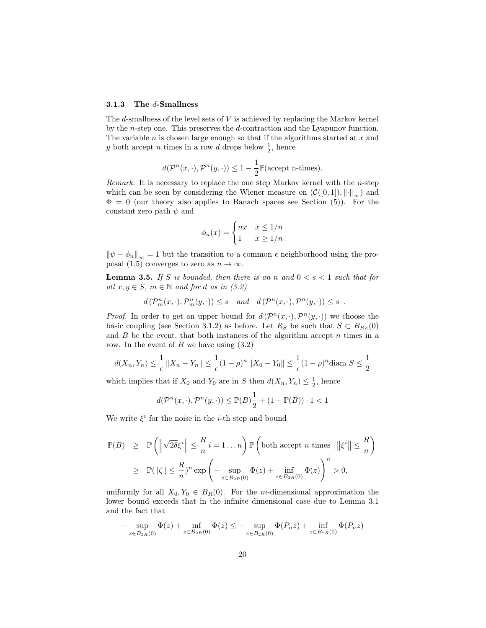#### 3.1.3 The d-Smallness

The  $d$ -smallness of the level sets of  $V$  is achieved by replacing the Markov kernel by the n-step one. This preserves the d-contraction and the Lyapunov function. The variable  $n$  is chosen large enough so that if the algorithms started at  $x$  and y both accept n times in a row d drops below  $\frac{1}{2}$ , hence

$$
d(\mathcal{P}^n(x,\cdot), \mathcal{P}^n(y,\cdot)) \leq 1 - \frac{1}{2} \mathbb{P}(\text{accept n-times}).
$$

Remark. It is necessary to replace the one step Markov kernel with the  $n$ -step which can be seen by considering the Wiener measure on  $(\mathcal{C}([0,1]), \lVert \cdot \rVert_{\infty})$  and  $\Phi = 0$  (our theory also applies to Banach spaces see Section (5)). For the constant zero path  $\psi$  and

$$
\phi_n(x) = \begin{cases} nx & x \le 1/n \\ 1 & x \ge 1/n \end{cases}
$$

 $\|\psi - \phi_n\|_{\infty} = 1$  but the transition to a common  $\epsilon$  neighborhood using the proposal (1.5) converges to zero as  $n \to \infty$ .

**Lemma 3.5.** If S is bounded, then there is an n and  $0 < s < 1$  such that for all  $x, y \in S$ ,  $m \in \mathbb{N}$  and for d as in (3.2)

$$
d(\mathcal{P}_m^n(x,\cdot), \mathcal{P}_m^n(y,\cdot)) \leq s
$$
 and  $d(\mathcal{P}^n(x,\cdot), \mathcal{P}^n(y,\cdot)) \leq s$ .

*Proof.* In order to get an upper bound for  $d(P^{n}(x, \cdot), P^{n}(y, \cdot))$  we choose the basic coupling (see Section 3.1.2) as before. Let  $R_S$  be such that  $S \subset B_{R_S}(0)$ and  $B$  be the event, that both instances of the algorithm accept  $n$  times in a row. In the event of  $B$  we have using  $(3.2)$ 

$$
d(X_n, Y_n) \le \frac{1}{\epsilon} ||X_n - Y_n|| \le \frac{1}{\epsilon} (1 - \rho)^n ||X_0 - Y_0|| \le \frac{1}{\epsilon} (1 - \rho)^n \text{diam } S \le \frac{1}{2}
$$

which implies that if  $X_0$  and  $Y_0$  are in S then  $d(X_n, Y_n) \leq \frac{1}{2}$ , hence

$$
d(\mathcal{P}^n(x,\cdot),\mathcal{P}^n(y,\cdot)) \leq \mathbb{P}(B)\frac{1}{2} + (1 - \mathbb{P}(B)) \cdot 1 < 1
$$

We write  $\xi^i$  for the noise in the *i*-th step and bound

$$
\mathbb{P}(B) \geq \mathbb{P}\left(\left\|\sqrt{2\delta}\xi^{i}\right\| \leq \frac{R}{n}i = 1...n\right) \mathbb{P}\left(\text{both accept } n \text{ times } | \left\|\xi^{i}\right\| \leq \frac{R}{n}\right)
$$
  

$$
\geq \mathbb{P}(\|\zeta\| \leq \frac{R}{n})^{n} \exp\left(-\sup_{z \in B_{2R}(0)} \Phi(z) + \inf_{z \in B_{2R}(0)} \Phi(z)\right)^{n} > 0,
$$

uniformly for all  $X_0, Y_0 \in B_R(0)$ . For the m-dimensional approximation the lower bound exceeds that in the infinite dimensional case due to Lemma 3.1 and the fact that

$$
-\sup_{z \in B_{2R}(0)} \Phi(z) + \inf_{z \in B_{2R}(0)} \Phi(z) \le -\sup_{z \in B_{2R}(0)} \Phi(P_n z) + \inf_{z \in B_{2R}(0)} \Phi(P_n z)
$$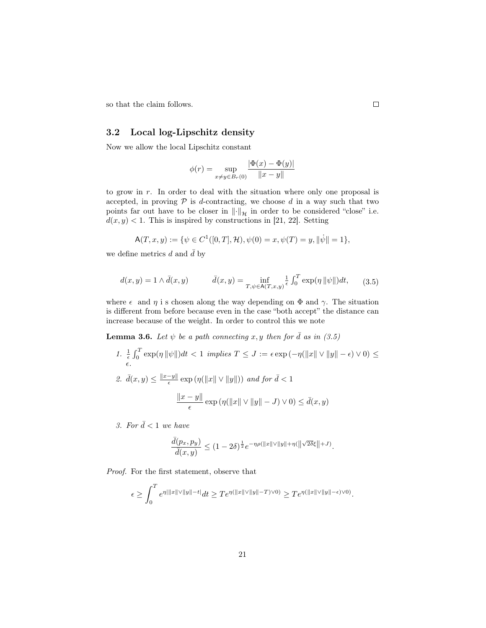so that the claim follows.

## 3.2 Local log-Lipschitz density

Now we allow the local Lipschitz constant

$$
\phi(r) = \sup_{x \neq y \in B_r(0)} \frac{|\Phi(x) - \Phi(y)|}{\|x - y\|}
$$

to grow in r. In order to deal with the situation where only one proposal is accepted, in proving  $P$  is d-contracting, we choose d in a way such that two points far out have to be closer in  $\left\|\cdot\right\|_{\mathcal{H}}$  in order to be considered "close" i.e.  $d(x, y) < 1$ . This is inspired by constructions in [21, 22]. Setting

$$
\mathsf{A}(T,x,y) := \{ \psi \in C^1([0,T],\mathcal{H}), \psi(0) = x, \psi(T) = y, \|\dot{\psi}\| = 1 \},\
$$

we define metrics d and  $\bar{d}$  by

$$
d(x,y) = 1 \wedge \bar{d}(x,y) \qquad \qquad \bar{d}(x,y) = \inf_{T,\psi \in \mathsf{A}(T,x,y)} \frac{1}{\epsilon} \int_0^T \exp(\eta \, \|\psi\|) dt, \qquad (3.5)
$$

where  $\epsilon$  and  $\eta$  is chosen along the way depending on  $\Phi$  and  $\gamma$ . The situation is different from before because even in the case "both accept" the distance can increase because of the weight. In order to control this we note

**Lemma 3.6.** Let  $\psi$  be a path connecting x, y then for  $\bar{d}$  as in (3.5)

1.  $\frac{1}{\epsilon} \int_0^T \exp(\eta \|\psi\|) dt < 1$  implies  $T \leq J := \epsilon \exp(-\eta(\|x\| \vee \|y\| - \epsilon) \vee 0) \leq$  $\epsilon$ . 2.  $\bar{d}(x, y) \leq \frac{\|x-y\|}{\epsilon}$  $\frac{-y\|}{\epsilon} \exp\left(\eta(\|x\| \vee \|y\|)\right)$  and for  $\bar{d} < 1$  $\|x - y\|$  $\frac{y}{\epsilon} \exp(\eta(\Vert x \Vert \vee \Vert y \Vert - J) \vee 0) \leq d(x, y)$ 

3. For  $\bar{d} < 1$  we have

$$
\frac{\bar d(p_x,p_y)}{\bar d(x,y)}\leq (1-2\delta)^{\frac12}e^{-\eta\rho(\|x\|\vee\|y\|+\eta(\big\|\sqrt{2\delta}\xi\big\|+J)}.
$$

Proof. For the first statement, observe that

$$
\epsilon \ge \int_0^T e^{\eta|\|x\|\vee\|y\|-t|}dt \ge T e^{\eta(\|x\|\vee\|y\|-T)\vee 0)} \ge T e^{\eta(\|x\|\vee\|y\|-{\epsilon})\vee 0)}.
$$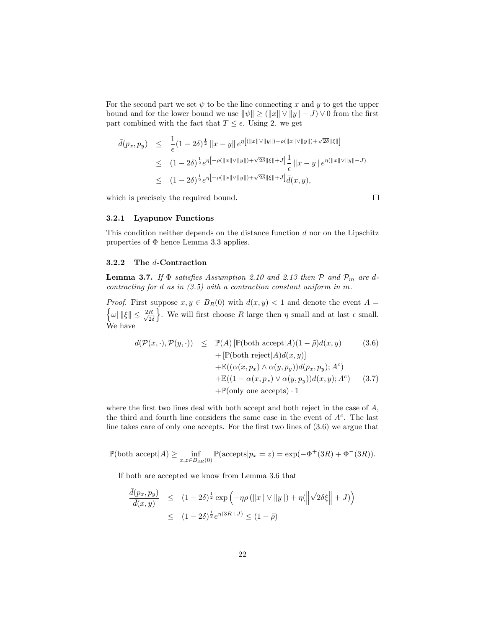For the second part we set  $\psi$  to be the line connecting x and y to get the upper bound and for the lower bound we use  $\|\psi\| \geq (\|x\| \vee \|y\| - J) \vee 0$  from the first part combined with the fact that  $T \leq \epsilon$ . Using 2. we get

$$
\bar{d}(p_x, p_y) \leq \frac{1}{\epsilon} (1 - 2\delta)^{\frac{1}{2}} \|x - y\| e^{\eta [(\|x\| \vee \|y\|) - \rho(\|x\| \vee \|y\|) + \sqrt{2\delta} \|\xi\|]}
$$
\n
$$
\leq (1 - 2\delta)^{\frac{1}{2}} e^{\eta [-\rho(\|x\| \vee \|y\|) + \sqrt{2\delta} \|\xi\| + J]} \frac{1}{\epsilon} \|x - y\| e^{\eta(\|x\| \vee \|y\| - J)}
$$
\n
$$
\leq (1 - 2\delta)^{\frac{1}{2}} e^{\eta [-\rho(\|x\| \vee \|y\|) + \sqrt{2\delta} \|\xi\| + J]} \bar{d}(x, y),
$$

which is precisely the required bound.

 $\Box$ 

## 3.2.1 Lyapunov Functions

This condition neither depends on the distance function  $d$  nor on the Lipschitz properties of  $\Phi$  hence Lemma 3.3 applies.

## 3.2.2 The d-Contraction

**Lemma 3.7.** If  $\Phi$  satisfies Assumption 2.10 and 2.13 then  $\mathcal{P}$  and  $\mathcal{P}_m$  are dcontracting for  $d$  as in  $(3.5)$  with a contraction constant uniform in m.

*Proof.* First suppose  $x, y \in B_R(0)$  with  $d(x, y) < 1$  and denote the event  $A =$  $\left\{\omega\right|\left\|\xi\right\| \leq \frac{2R}{\sqrt{2}}$  $\frac{R}{2\delta}$ . We will first choose R large then  $\eta$  small and at last  $\epsilon$  small. We have

$$
d(\mathcal{P}(x, \cdot), \mathcal{P}(y, \cdot)) \leq \mathbb{P}(A) [\mathbb{P}(\text{both } \text{accept}|A)(1 - \tilde{\rho})d(x, y) + [\mathbb{P}(\text{both } \text{reject}|A)d(x, y)] + \mathbb{E}((\alpha(x, p_x) \land \alpha(y, p_y))d(p_x, p_y); A^c) + \mathbb{E}((1 - \alpha(x, p_x) \lor \alpha(y, p_y))d(x, y); A^c) + \mathbb{P}(\text{only one accepts}) \cdot 1
$$
\n(3.7)

where the first two lines deal with both accept and both reject in the case of A, the third and fourth line considers the same case in the event of  $A<sup>c</sup>$ . The last line takes care of only one accepts. For the first two lines of (3.6) we argue that

$$
\mathbb{P}(\text{both accept}|A) \ge \inf_{x,z \in B_{3R}(0)} \mathbb{P}(\text{accepts}|p_x = z) = \exp(-\Phi^+(3R) + \Phi^-(3R)).
$$

If both are accepted we know from Lemma 3.6 that

$$
\frac{\bar{d}(p_x, p_y)}{\bar{d}(x, y)} \le (1 - 2\delta)^{\frac{1}{2}} \exp\left(-\eta \rho\left(\|x\| \vee \|y\|\right) + \eta\left(\left\|\sqrt{2\delta}\xi\right\| + J\right)\right)
$$
\n
$$
\le (1 - 2\delta)^{\frac{1}{2}} e^{\eta(3R + J)} \le (1 - \tilde{\rho})
$$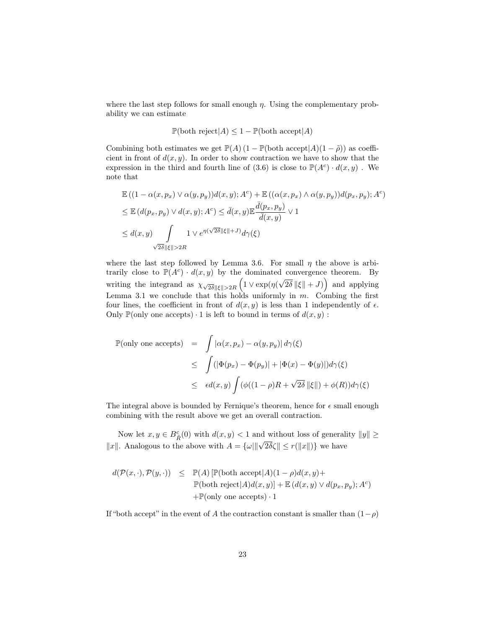where the last step follows for small enough  $\eta$ . Using the complementary probability we can estimate

$$
\mathbb{P}(\text{both reject}|A) \le 1 - \mathbb{P}(\text{both accept}|A)
$$

Combining both estimates we get  $\mathbb{P}(A)$  (1 –  $\mathbb{P}(\text{both accept}|A)(1-\tilde{\rho})$ ) as coefficient in front of  $d(x, y)$ . In order to show contraction we have to show that the expression in the third and fourth line of (3.6) is close to  $\mathbb{P}(A^c) \cdot d(x,y)$ . We note that

$$
\mathbb{E}((1 - \alpha(x, p_x) \vee \alpha(y, p_y))d(x, y); A^c) + \mathbb{E}((\alpha(x, p_x) \wedge \alpha(y, p_y))d(p_x, p_y); A^c)
$$
\n
$$
\leq \mathbb{E}(d(p_x, p_y) \vee d(x, y); A^c) \leq \bar{d}(x, y)\mathbb{E}\frac{\bar{d}(p_x, p_y)}{\bar{d}(x, y)} \vee 1
$$
\n
$$
\leq d(x, y) \int_{\sqrt{2\delta}||\xi|| > 2R} 1 \vee e^{\eta(\sqrt{2\delta}||\xi|| + J)} d\gamma(\xi)
$$

where the last step followed by Lemma 3.6. For small  $\eta$  the above is arbitrarily close to  $\mathbb{P}(A^c) \cdot d(x, y)$  by the dominated convergence theorem. By writing the integrand as  $\chi_{\sqrt{2\delta}\|\xi\|>2R} \left(1 \vee \exp(\eta(\theta))\right)$ √  $\overline{2\delta}\|\xi\|+J$ ) and applying Lemma 3.1 we conclude that this holds uniformly in  $m$ . Combing the first four lines, the coefficient in front of  $d(x, y)$  is less than 1 independently of  $\epsilon$ . Only  $\mathbb{P}(\text{only one accepts}) \cdot 1$  is left to bound in terms of  $d(x, y)$ :

$$
\mathbb{P}(\text{only one accepts}) = \int |\alpha(x, p_x) - \alpha(y, p_y)| d\gamma(\xi)
$$
  
\n
$$
\leq \int (|\Phi(p_x) - \Phi(p_y)| + |\Phi(x) - \Phi(y)|) d\gamma(\xi)
$$
  
\n
$$
\leq \epsilon d(x, y) \int (\phi((1 - \rho)R + \sqrt{2\delta} ||\xi||) + \phi(R)) d\gamma(\xi)
$$

The integral above is bounded by Fernique's theorem, hence for  $\epsilon$  small enough combining with the result above we get an overall contraction.

Now let  $x, y \in B_{\tilde{R}}^c(0)$  with  $d(x, y) < 1$  and without loss of generality  $||y|| \ge$ Frow Re  $x, y \in B_{\tilde{R}}(0)$  with  $a(x, y) \le 1$  and writing itself is equivalent in  $||x||$ . Analogous to the above with  $A = {\omega||\sqrt{2\delta\zeta}} \le r(||x||)$  we have

$$
\begin{array}{lcl} d(\mathcal{P}(x,\cdot),\mathcal{P}(y,\cdot)) & \leq & \mathbb{P}(A)\left[\mathbb{P}(\text{both } \text{accept}|A)(1-\rho)d(x,y)+\right. \\ & & \qquad \qquad & \mathbb{P}(\text{both } \text{reject}|A)d(x,y)\right] + \mathbb{E}\left(d(x,y) \vee d(p_x,p_y);A^c\right) \\ & & \qquad \qquad + \mathbb{P}(\text{only one } \text{accepts}) \cdot 1 \end{array}
$$

If "both accept" in the event of A the contraction constant is smaller than  $(1-\rho)$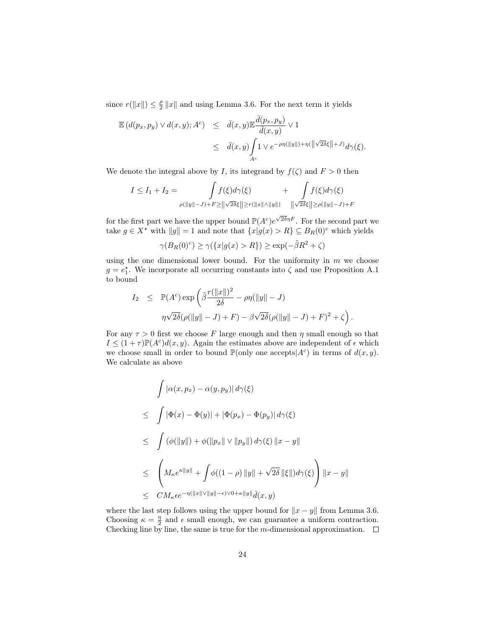since  $r(||x||) \leq \frac{\rho}{2} ||x||$  and using Lemma 3.6. For the next term it yields

$$
\mathbb{E}\left(d(p_x, p_y) \vee d(x, y); A^c\right) \leq \bar{d}(x, y) \mathbb{E}\frac{\bar{d}(p_x, p_y)}{\bar{d}(x, y)} \vee 1
$$
  

$$
\leq \bar{d}(x, y) \int_{A^c} 1 \vee e^{-\rho \eta(||y||) + \eta(||\sqrt{2\delta}\xi|| + J)} d\gamma(\xi).
$$

We denote the integral above by I, its integrand by  $f(\zeta)$  and  $F > 0$  then

$$
I \leq I_1 + I_2 = \int_{\rho(\|y\| - J) + F \geq \|\sqrt{2\delta}\xi\| \geq r(\|x\| \wedge \|y\|)} + \int_{\sqrt{2\delta}\xi} f(\xi) d\gamma(\xi)
$$

for the first part we have the upper bound  $\mathbb{P}(A^c)e^{\sqrt{2\delta}\eta F}$ . For the second part we take  $g \in X^*$  with  $||g|| = 1$  and note that  $\{x|g(x) > R\} \subseteq B_R(0)^c$  which yields

$$
\gamma(B_R(0)^c)\geq \gamma(\{x|g(x)>R\})\geq \exp(-\tilde{\beta}R^2+\zeta)
$$

using the one dimensional lower bound. For the uniformity in  $m$  we choose  $g = e_1^*$ . We incorporate all occurring constants into  $\zeta$  and use Proposition A.1 to bound

$$
I_2 \leq \mathbb{P}(A^c) \exp\left(\tilde{\beta} \frac{r(\Vert x \Vert)^2}{2\delta} - \rho \eta(\Vert y \Vert - J) \right)
$$
  

$$
\eta \sqrt{2\delta}(\rho(\Vert y \Vert - J) + F) - \beta \sqrt{2\delta}(\rho(\Vert y \Vert - J) + F)^2 + \zeta\right).
$$

For any  $\tau > 0$  first we choose F large enough and then  $\eta$  small enough so that  $I \leq (1+\tau)\mathbb{P}(A^c)d(x,y)$ . Again the estimates above are independent of  $\epsilon$  which we choose small in order to bound  $\mathbb{P}(\text{only one accepts}|A^c)$  in terms of  $d(x, y)$ . We calculate as above

$$
\int |\alpha(x, p_x) - \alpha(y, p_y)| d\gamma(\xi)
$$
\n
$$
\leq \int |\Phi(x) - \Phi(y)| + |\Phi(p_x) - \Phi(p_y)| d\gamma(\xi)
$$
\n
$$
\leq \int (\phi(||y||) + \phi(||p_x|| \vee ||p_y||) d\gamma(\xi) ||x - y||)
$$
\n
$$
\leq \left( M_{\kappa} e^{\kappa ||y||} + \int \phi((1 - \rho) ||y|| + \sqrt{2\delta} ||\xi||) d\gamma(\xi) \right) ||x - y||
$$
\n
$$
\leq CM_{\kappa} \epsilon e^{-\eta (||x|| \vee ||y|| - \epsilon) \vee 0 + \kappa ||y||} \bar{d}(x, y)
$$

where the last step follows using the upper bound for  $\|x - y\|$  from Lemma 3.6. Choosing  $\kappa = \frac{\eta}{2}$  and  $\epsilon$  small enough, we can guarantee a uniform contraction. Checking line by line, the same is true for the m-dimensional approximation.  $\Box$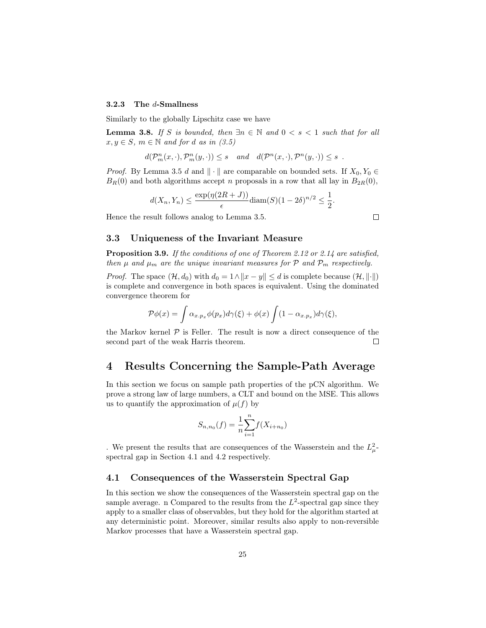### 3.2.3 The d-Smallness

Similarly to the globally Lipschitz case we have

**Lemma 3.8.** If S is bounded, then  $\exists n \in \mathbb{N}$  and  $0 < s < 1$  such that for all  $x, y \in S$ ,  $m \in \mathbb{N}$  and for d as in (3.5)

$$
d(\mathcal{P}_m^n(x,\cdot),\mathcal{P}_m^n(y,\cdot)) \leq s \quad and \quad d(\mathcal{P}^n(x,\cdot),\mathcal{P}^n(y,\cdot)) \leq s \enspace .
$$

*Proof.* By Lemma 3.5 d and  $\|\cdot\|$  are comparable on bounded sets. If  $X_0, Y_0 \in$  $B_R(0)$  and both algorithms accept n proposals in a row that all lay in  $B_{2R}(0)$ ,

$$
d(X_n, Y_n) \le \frac{\exp(\eta(2R+J))}{\epsilon} \operatorname{diam}(S)(1-2\delta)^{n/2} \le \frac{1}{2}.
$$

 $\Box$ 

Hence the result follows analog to Lemma 3.5.

## 3.3 Uniqueness of the Invariant Measure

Proposition 3.9. If the conditions of one of Theorem 2.12 or 2.14 are satisfied, then  $\mu$  and  $\mu_m$  are the unique invariant measures for P and  $\mathcal{P}_m$  respectively.

*Proof.* The space  $(\mathcal{H}, d_0)$  with  $d_0 = 1 \land ||x - y|| \leq d$  is complete because  $(\mathcal{H}, ||\cdot||)$ is complete and convergence in both spaces is equivalent. Using the dominated convergence theorem for

$$
\mathcal{P}\phi(x) = \int \alpha_{x.p_x} \phi(p_x) d\gamma(\xi) + \phi(x) \int (1 - \alpha_{x.p_x}) d\gamma(\xi),
$$

the Markov kernel  $\mathcal P$  is Feller. The result is now a direct consequence of the second part of the weak Harris theorem.  $\Box$ 

## 4 Results Concerning the Sample-Path Average

In this section we focus on sample path properties of the pCN algorithm. We prove a strong law of large numbers, a CLT and bound on the MSE. This allows us to quantify the approximation of  $\mu(f)$  by

$$
S_{n,n_0}(f) = \frac{1}{n} \sum_{i=1}^{n} f(X_{i+n_0})
$$

. We present the results that are consequences of the Wasserstein and the  $L^2_{\mu}$ spectral gap in Section 4.1 and 4.2 respectively.

### 4.1 Consequences of the Wasserstein Spectral Gap

In this section we show the consequences of the Wasserstein spectral gap on the sample average. n Compared to the results from the  $L^2$ -spectral gap since they apply to a smaller class of observables, but they hold for the algorithm started at any deterministic point. Moreover, similar results also apply to non-reversible Markov processes that have a Wasserstein spectral gap.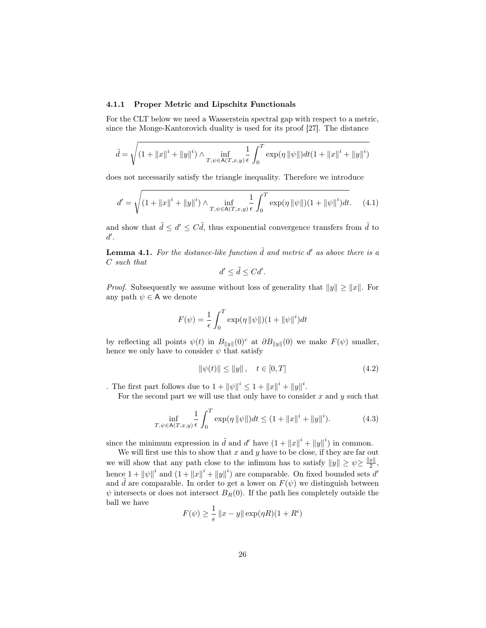#### 4.1.1 Proper Metric and Lipschitz Functionals

For the CLT below we need a Wasserstein spectral gap with respect to a metric, since the Monge-Kantorovich duality is used for its proof [27]. The distance

$$
\tilde{d} = \sqrt{\left(1 + \|x\|^i + \|y\|^i\right) \wedge \inf_{T, \psi \in A(T, x, y)} \frac{1}{\epsilon} \int_0^T \exp(\eta \, \|\psi\|) dt \left(1 + \|x\|^i + \|y\|^i\right)}
$$

does not necessarily satisfy the triangle inequality. Therefore we introduce

$$
d' = \sqrt{\left(1 + \|x\|^i + \|y\|^i\right) \wedge \inf_{T, \psi \in A(T, x, y)} \frac{1}{\epsilon} \int_0^T \exp(\eta \|\psi\|) (1 + \|\psi\|^i) dt}.
$$
 (4.1)

and show that  $\tilde{d} \leq d' \leq C \tilde{d}$ , thus exponential convergence transfers from  $\tilde{d}$  to  $d'.$ 

**Lemma 4.1.** For the distance-like function  $\tilde{d}$  and metric d' as above there is a C such that

$$
d' \le \tilde{d} \le C d'.
$$

*Proof.* Subsequently we assume without loss of generality that  $||y|| \ge ||x||$ . For any path  $\psi \in A$  we denote

$$
F(\psi) = \frac{1}{\epsilon} \int_0^T \exp(\eta \, ||\psi||)(1 + ||\psi||^i) dt
$$

by reflecting all points  $\psi(t)$  in  $B_{\|y\|}(0)^c$  at  $\partial B_{\|y\|}(0)$  we make  $F(\psi)$  smaller, hence we only have to consider  $\psi$  that satisfy

$$
\|\psi(t)\| \le \|y\| \,, \quad t \in [0, T] \tag{4.2}
$$

. The first part follows due to  $1 + ||\psi||^i \leq 1 + ||x||^i + ||y||^i$ .

For the second part we will use that only have to consider  $x$  and  $y$  such that

$$
\inf_{T,\psi \in A(T,x,y)} \frac{1}{\epsilon} \int_0^T \exp(\eta \|\psi\|) dt \le (1 + \|x\|^i + \|y\|^i). \tag{4.3}
$$

since the minimum expression in  $\tilde{d}$  and d' have  $(1 + ||x||^i + ||y||^i)$  in common.

We will first use this to show that  $x$  and  $y$  have to be close, if they are far out we will show that any path close to the infimum has to satisfy  $||y|| \ge \psi \ge \frac{||y||}{2}$  $\frac{y_{\parallel}}{2}$ , hence  $1 + ||\psi||^i$  and  $(1 + ||x||^i + ||y||^i)$  are comparable. On fixed bounded sets d' and  $\tilde{d}$  are comparable. In order to get a lower on  $F(\psi)$  we distinguish between  $\psi$  intersects or does not intersect  $B_R(0)$ . If the path lies completely outside the ball we have

$$
F(\psi) \ge \frac{1}{\epsilon} ||x - y|| \exp(\eta R)(1 + R^i)
$$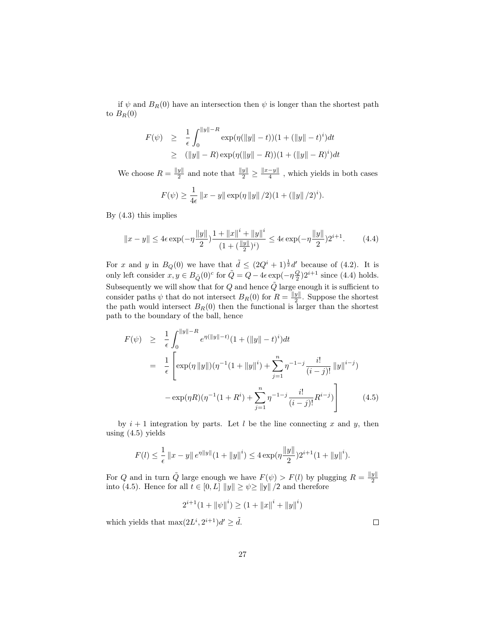if  $\psi$  and  $B_R(0)$  have an intersection then  $\psi$  is longer than the shortest path to  $B_R(0)$ 

$$
F(\psi) \geq \frac{1}{\epsilon} \int_0^{\|y\| - R} \exp(\eta(\|y\| - t))(1 + (\|y\| - t)^i)dt
$$
  
 
$$
\geq (\|y\| - R) \exp(\eta(\|y\| - R))(1 + (\|y\| - R)^i)dt
$$

We choose  $R = \frac{\|y\|}{2}$  $\frac{y\|}{2}$  and note that  $\frac{\|y\|}{2}$  ≥  $\frac{\|x-y\|}{4}$  $\frac{-y_{\parallel}}{4}$ , which yields in both cases

$$
F(\psi) \ge \frac{1}{4\epsilon} ||x - y|| \exp(\eta ||y|| / 2)(1 + (||y|| / 2)^{i}).
$$

By (4.3) this implies

$$
||x - y|| \le 4\epsilon \exp(-\eta \frac{||y||}{2})\frac{1 + ||x||^i + ||y||^i}{(1 + (\frac{||y||}{2})^i)} \le 4\epsilon \exp(-\eta \frac{||y||}{2})2^{i+1}.
$$
 (4.4)

For x and y in  $B_Q(0)$  we have that  $\tilde{d} \leq (2Q^i+1)^{\frac{1}{2}}d'$  because of (4.2). It is only left consider  $x, y \in B_{\tilde{Q}}(0)^c$  for  $\tilde{Q} = Q - 4\epsilon \exp(-\eta \frac{Q}{2})2^{i+1}$  since (4.4) holds. Subsequently we will show that for  $Q$  and hence  $\tilde{Q}$  large enough it is sufficient to consider paths  $\psi$  that do not intersect  $B_R(0)$  for  $R = \frac{\|y\|}{2}$  $\frac{y_{\parallel}}{2}$ . Suppose the shortest the path would intersect  $B_R(0)$  then the functional is larger than the shortest path to the boundary of the ball, hence

$$
F(\psi) \geq \frac{1}{\epsilon} \int_0^{\|y\| - R} e^{\eta(\|y\| - t)} (1 + (\|y\| - t)^i) dt
$$
  
\n
$$
= \frac{1}{\epsilon} \left[ \exp(\eta \|y\|) (\eta^{-1} (1 + \|y\|^i) + \sum_{j=1}^n \eta^{-1-j} \frac{i!}{(i-j)!} \|y\|^{i-j}) - \exp(\eta R) (\eta^{-1} (1 + R^i) + \sum_{j=1}^n \eta^{-1-j} \frac{i!}{(i-j)!} R^{i-j}) \right]
$$
(4.5)

by  $i + 1$  integration by parts. Let l be the line connecting x and y, then using  $(4.5)$  yields

$$
F(l) \leq \frac{1}{\epsilon} \|x - y\| \, e^{\eta \|y\|} (1 + \|y\|^i) \leq 4 \exp(\eta \frac{\|y\|}{2}) 2^{i+1} (1 + \|y\|^i).
$$

For Q and in turn  $\tilde{Q}$  large enough we have  $F(\psi) > F(l)$  by plugging  $R = \frac{\|y\|}{2}$ 2 into (4.5). Hence for all  $t \in [0, L] ||y|| \ge \psi \ge ||y|| /2$  and therefore

$$
2^{i+1}(1 + \|\psi\|^i) \ge (1 + \|x\|^i + \|y\|^i)
$$

which yields that  $\max(2L^i, 2^{i+1})d' \geq d$ .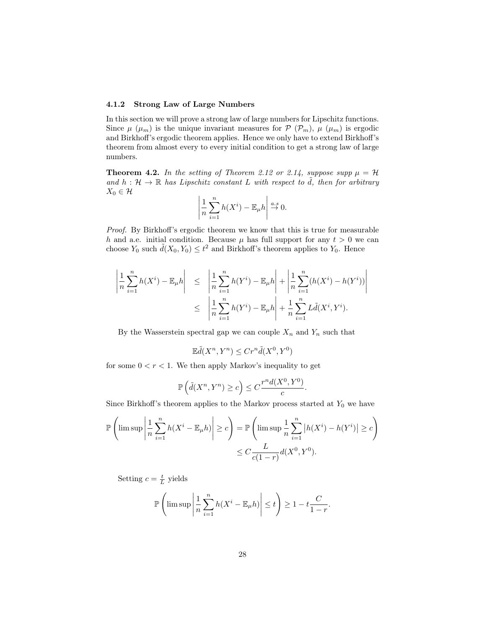#### 4.1.2 Strong Law of Large Numbers

In this section we will prove a strong law of large numbers for Lipschitz functions. Since  $\mu$  ( $\mu$ <sub>m</sub>) is the unique invariant measures for  $\mathcal{P}$  ( $\mathcal{P}_m$ ),  $\mu$  ( $\mu$ <sub>m</sub>) is ergodic and Birkhoff's ergodic theorem applies. Hence we only have to extend Birkhoff's theorem from almost every to every initial condition to get a strong law of large numbers.

**Theorem 4.2.** In the setting of Theorem 2.12 or 2.14, suppose supp  $\mu = H$ and  $h : \mathcal{H} \to \mathbb{R}$  has Lipschitz constant L with respect to  $\tilde{d}$ , then for arbitrary  $X_0 \in \mathcal{H}$ 

$$
\left|\frac{1}{n}\sum_{i=1}^n h(X^i) - \mathbb{E}_{\mu}h\right| \stackrel{a.s}{\to} 0.
$$

Proof. By Birkhoff's ergodic theorem we know that this is true for measurable h and a.e. initial condition. Because  $\mu$  has full support for any  $t > 0$  we can choose  $Y_0$  such  $\tilde{d}(X_0, Y_0) \leq t^2$  and Birkhoff's theorem applies to  $Y_0$ . Hence

$$
\left| \frac{1}{n} \sum_{i=1}^{n} h(X^{i}) - \mathbb{E}_{\mu} h \right| \leq \left| \frac{1}{n} \sum_{i=1}^{n} h(Y^{i}) - \mathbb{E}_{\mu} h \right| + \left| \frac{1}{n} \sum_{i=1}^{n} (h(X^{i}) - h(Y^{i})) \right|
$$
  

$$
\leq \left| \frac{1}{n} \sum_{i=1}^{n} h(Y^{i}) - \mathbb{E}_{\mu} h \right| + \frac{1}{n} \sum_{i=1}^{n} L \tilde{d}(X^{i}, Y^{i}).
$$

By the Wasserstein spectral gap we can couple  $X_n$  and  $Y_n$  such that

$$
\mathbb{E}\tilde{d}(X^n, Y^n) \le Cr^n\tilde{d}(X^0, Y^0)
$$

for some  $0 < r < 1$ . We then apply Markov's inequality to get

$$
\mathbb{P}\left(\tilde{d}(X^n, Y^n) \ge c\right) \le C \frac{r^n d(X^0, Y^0)}{c}.
$$

Since Birkhoff's theorem applies to the Markov process started at  $Y_0$  we have

$$
\mathbb{P}\left(\limsup\left|\frac{1}{n}\sum_{i=1}^{n}h(X^{i}-\mathbb{E}_{\mu}h)\right|\geq c\right) = \mathbb{P}\left(\limsup\frac{1}{n}\sum_{i=1}^{n}\left|h(X^{i})-h(Y^{i})\right|\geq c\right)
$$

$$
\leq C\frac{L}{c(1-r)}d(X^{0},Y^{0}).
$$

Setting  $c = \frac{t}{L}$  yields

$$
\mathbb{P}\left(\limsup\left|\frac{1}{n}\sum_{i=1}^n h(X^i - \mathbb{E}_{\mu}h)\right| \le t\right) \ge 1 - t\frac{C}{1-r}.
$$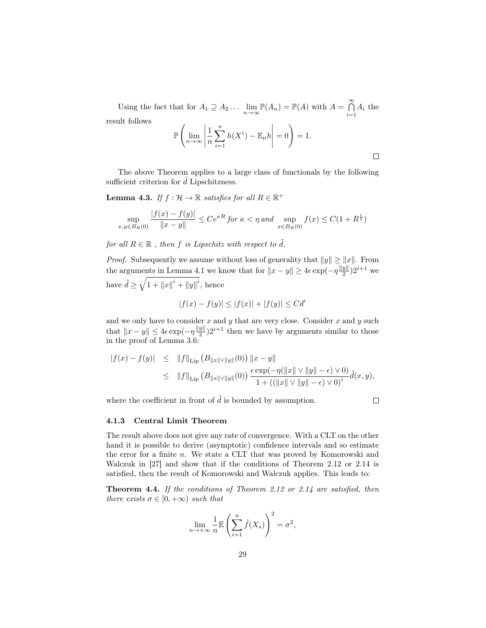Using the fact that for  $A_1 \supseteq A_2 \ldots \lim_{n \to \infty} \mathbb{P}(A_n) = \mathbb{P}(A)$  with  $A = \bigcap_{i=1}^{\infty} A_i$  $\bigcap_{i=1} A_i$  the result follows  $\sqrt{ }$  $\overline{\phantom{a}}$  $\overline{\phantom{a}}$ 

$$
\mathbb{P}\left(\lim_{n\to\infty}\left|\frac{1}{n}\sum_{i=1}^n h(X^i)-\mathbb{E}_{\mu}h\right|=0\right)=1.
$$

The above Theorem applies to a large class of functionals by the following sufficient criterion for  $d$  Lipschitzness.

**Lemma 4.3.** If  $f : \mathcal{H} \to \mathbb{R}$  satisfies for all  $R \in \mathbb{R}^+$ 

$$
\sup_{x,y \in B_R(0)} \frac{|f(x) - f(y)|}{\|x - y\|} \le Ce^{\kappa R} \text{ for } \kappa < \eta \text{ and } \sup_{x \in B_R(0)} f(x) \le C(1 + R^{\frac{i}{2}})
$$

for all  $R \in \mathbb{R}$ , then f is Lipschitz with respect to  $\tilde{d}$ .

*Proof.* Subsequently we assume without loss of generality that  $||y|| \ge ||x||$ . From the arguments in Lemma 4.1 we know that for  $||x - y|| \ge 4\epsilon \exp(-\eta \frac{||y||}{2})$  $\frac{y}{2}$ ) $2^{i+1}$  we have  $\tilde{d} \ge \sqrt{1 + ||x||^i + ||y||^i}$ , hence

$$
|f(x) - f(y)| \le |f(x)| + |f(y)| \le C d'
$$

and we only have to consider  $x$  and  $y$  that are very close. Consider  $x$  and  $y$  such that  $||x - y|| \leq 4\epsilon \exp(-\eta \frac{||y||}{2})$  $\frac{y||}{2}$ ) $2^{i+1}$  then we have by arguments similar to those in the proof of Lemma 3.6:

$$
|f(x) - f(y)| \le ||f||_{\text{Lip}} (B_{||x||\vee ||y||}(0)) ||x - y||
$$
  
\n
$$
\le ||f||_{\text{Lip}} (B_{||x||\vee ||y||}(0)) \frac{\epsilon \exp(-\eta(||x|| \vee ||y|| - \epsilon) \vee 0)}{1 + ((||x|| \vee ||y|| - \epsilon) \vee 0)^{i}} \tilde{d}(x, y),
$$

where the coefficient in front of  $\tilde{d}$  is bounded by assumption.

 $\Box$ 

#### 4.1.3 Central Limit Theorem

The result above does not give any rate of convergence. With a CLT on the other hand it is possible to derive (asymptotic) confidence intervals and so estimate the error for a finite n. We state a CLT that was proved by Komorowski and Walczuk in [27] and show that if the conditions of Theorem 2.12 or 2.14 is satisfied, then the result of Komorowski and Walczuk applies. This leads to:

**Theorem 4.4.** If the conditions of Theorem 2.12 or 2.14 are satisfied, then there exists  $\sigma \in [0, +\infty)$  such that

$$
\lim_{n \to +\infty} \frac{1}{n} \mathbb{E} \left( \sum_{i=1}^{n} \tilde{f}(X_s) \right)^2 = \sigma^2,
$$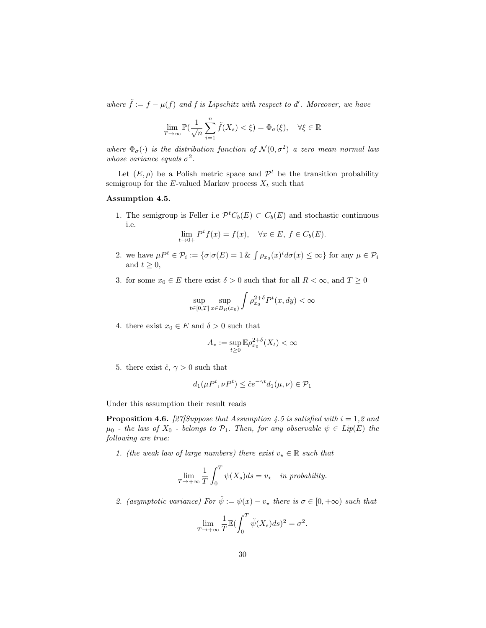where  $\tilde{f} := f - \mu(f)$  and f is Lipschitz with respect to d'. Moreover, we have

$$
\lim_{T \to \infty} \mathbb{P}(\frac{1}{\sqrt{n}} \sum_{i=1}^{n} \tilde{f}(X_s) < \xi) = \Phi_{\sigma}(\xi), \quad \forall \xi \in \mathbb{R}
$$

where  $\Phi_{\sigma}(\cdot)$  is the distribution function of  $\mathcal{N}(0, \sigma^2)$  a zero mean normal law whose variance equals  $\sigma^2$ .

Let  $(E, \rho)$  be a Polish metric space and  $\mathcal{P}^t$  be the transition probability semigroup for the E-valued Markov process  $X_t$  such that

## Assumption 4.5.

1. The semigroup is Feller i.e  $\mathcal{P}^t C_b(E) \subset C_b(E)$  and stochastic continuous i.e.

$$
\lim_{t \to 0+} P^t f(x) = f(x), \quad \forall x \in E, f \in C_b(E).
$$

- 2. we have  $\mu P^t \in \mathcal{P}_i := \{ \sigma | \sigma(E) = 1 \& \int \rho_{x_0}(x)^i d\sigma(x) \leq \infty \}$  for any  $\mu \in \mathcal{P}_i$ and  $t \geq 0$ ,
- 3. for some  $x_0 \in E$  there exist  $\delta > 0$  such that for all  $R < \infty$ , and  $T \ge 0$

$$
\sup_{t \in [0,T]} \sup_{x \in B_R(x_0)} \int \rho_{x_0}^{2+\delta} P^t(x, dy) < \infty
$$

4. there exist  $x_0 \in E$  and  $\delta > 0$  such that

$$
A_* := \sup_{t \ge 0} \mathbb{E} \rho_{x_0}^{2+\delta}(X_t) < \infty
$$

5. there exist  $\hat{c}$ ,  $\gamma > 0$  such that

$$
d_1(\mu P^t, \nu P^t) \le \hat{c} e^{-\gamma t} d_1(\mu, \nu) \in \mathcal{P}_1
$$

Under this assumption their result reads

**Proposition 4.6.** [27] Suppose that Assumption 4.5 is satisfied with  $i = 1,2$  and  $\mu_0$  - the law of  $X_0$  - belongs to  $\mathcal{P}_1$ . Then, for any observable  $\psi \in Lip(E)$  the following are true:

1. (the weak law of large numbers) there exist  $v_* \in \mathbb{R}$  such that

$$
\lim_{T \to +\infty} \frac{1}{T} \int_0^T \psi(X_s) ds = v_\star \quad in \ probability.
$$

2. (asymptotic variance) For  $\tilde{\psi} := \psi(x) - v_{\star}$  there is  $\sigma \in [0, +\infty)$  such that

$$
\lim_{T \to +\infty} \frac{1}{T} \mathbb{E} \left( \int_0^T \tilde{\psi}(X_s) ds \right)^2 = \sigma^2.
$$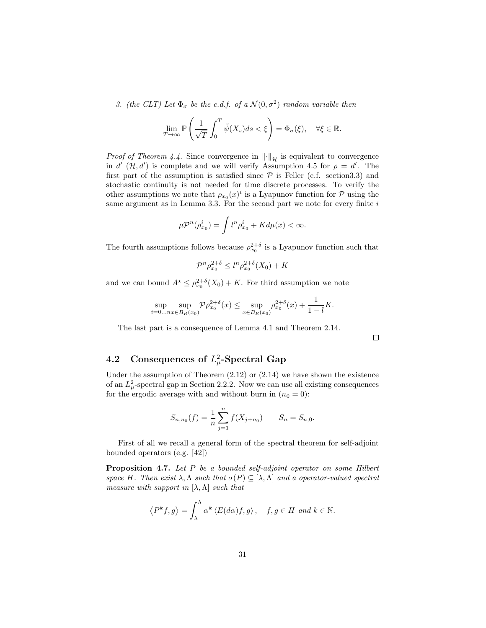3. (the CLT) Let  $\Phi_{\sigma}$  be the c.d.f. of a  $\mathcal{N}(0, \sigma^2)$  random variable then

$$
\lim_{T \to \infty} \mathbb{P}\left(\frac{1}{\sqrt{T}} \int_0^T \tilde{\psi}(X_s) ds < \xi\right) = \Phi_{\sigma}(\xi), \quad \forall \xi \in \mathbb{R}.
$$

*Proof of Theorem 4.4.* Since convergence in  $\|\cdot\|_{\mathcal{H}}$  is equivalent to convergence in d'  $(H, d')$  is complete and we will verify Assumption 4.5 for  $\rho = d'$ . The first part of the assumption is satisfied since  $P$  is Feller (c.f. section 3.3) and stochastic continuity is not needed for time discrete processes. To verify the other assumptions we note that  $\rho_{x_0}(x)^i$  is a Lyapunov function for  $\mathcal P$  using the same argument as in Lemma 3.3. For the second part we note for every finite  $i$ 

$$
\mu \mathcal{P}^n(\rho^i_{x_0}) = \int l^n \rho^i_{x_0} + K d\mu(x) < \infty.
$$

The fourth assumptions follows because  $\rho_{x_0}^{2+\delta}$  is a Lyapunov function such that

$$
\mathcal{P}^{n} \rho_{x_0}^{2+\delta} \le l^n \rho_{x_0}^{2+\delta}(X_0) + K
$$

and we can bound  $A^* \leq \rho_{x_0}^{2+\delta}(X_0) + K$ . For third assumption we note

$$
\sup_{i=0...n} \sup_{x \in B_R(x_0)} \mathcal{P} \rho_{x_0}^{2+\delta}(x) \le \sup_{x \in B_R(x_0)} \rho_{x_0}^{2+\delta}(x) + \frac{1}{1-l} K.
$$

The last part is a consequence of Lemma 4.1 and Theorem 2.14.

 $\Box$ 

# 4.2 Consequences of  $L^2_\mu$ -Spectral Gap

Under the assumption of Theorem  $(2.12)$  or  $(2.14)$  we have shown the existence of an  $L^2_{\mu}$ -spectral gap in Section 2.2.2. Now we can use all existing consequences for the ergodic average with and without burn in  $(n_0 = 0)$ :

$$
S_{n,n_0}(f) = \frac{1}{n} \sum_{j=1}^n f(X_{j+n_0}) \qquad S_n = S_{n,0}.
$$

First of all we recall a general form of the spectral theorem for self-adjoint bounded operators (e.g. [42])

Proposition 4.7. Let P be a bounded self-adjoint operator on some Hilbert space H. Then exist  $\lambda, \Lambda$  such that  $\sigma(P) \subseteq [\lambda, \Lambda]$  and a operator-valued spectral measure with support in  $[\lambda, \Lambda]$  such that

$$
\langle P^k f, g \rangle = \int_{\lambda}^{\Lambda} \alpha^k \langle E(d\alpha)f, g \rangle
$$
,  $f, g \in H$  and  $k \in \mathbb{N}$ .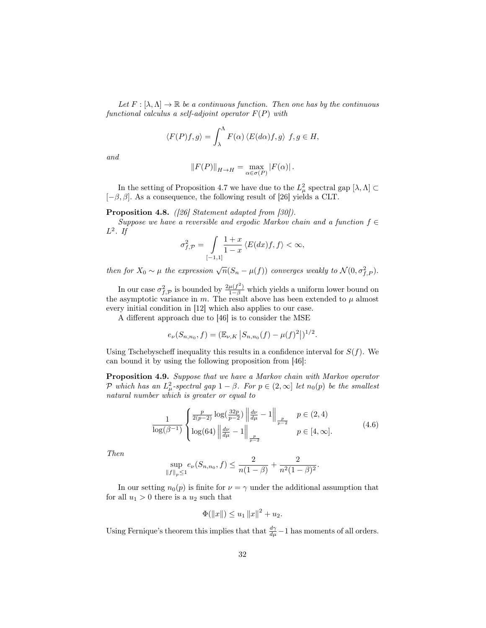Let  $F : [\lambda, \Lambda] \to \mathbb{R}$  be a continuous function. Then one has by the continuous functional calculus a self-adjoint operator  $F(P)$  with

$$
\langle F(P)f, g \rangle = \int_{\lambda}^{\Lambda} F(\alpha) \langle E(d\alpha)f, g \rangle f, g \in H,
$$

and

$$
||F(P)||_{H\to H} = \max_{\alpha\in\sigma(P)} |F(\alpha)|.
$$

In the setting of Proposition 4.7 we have due to the  $L^2_\mu$  spectral gap  $[\lambda, \Lambda] \subset$  $[-\beta, \beta]$ . As a consequence, the following result of [26] yields a CLT.

Proposition 4.8. ([26] Statement adapted from [30]).

Suppose we have a reversible and ergodic Markov chain and a function  $f \in$  $L^2$ . If

$$
\sigma_{f,\mathcal{P}}^2 = \int\limits_{[-1,1]} \frac{1+x}{1-x} \left\langle E(dx)f,f\right\rangle < \infty,
$$

then for  $X_0 \sim \mu$  the expression  $\sqrt{n}(S_n - \mu(f))$  converges weakly to  $\mathcal{N}(0, \sigma_{f, P}^2)$ .

In our case  $\sigma_{f,\mathcal{P}}^2$  is bounded by  $\frac{2\mu(f^2)}{1-\beta}$  which yields a uniform lower bound on the asymptotic variance in  $m$ . The result above has been extended to  $\mu$  almost every initial condition in [12] which also applies to our case.

A different approach due to [46] is to consider the MSE

$$
e_{\nu}(S_{n,n_0},f)=(\mathbb{E}_{\nu,K}|S_{n,n_0}(f)-\mu(f)^2|)^{1/2}.
$$

Using Tschebyscheff inequality this results in a confidence interval for  $S(f)$ . We can bound it by using the following proposition from [46]:

Proposition 4.9. Suppose that we have a Markov chain with Markov operator P which has an  $L^2_{\mu}$ -spectral gap  $1 - \beta$ . For  $p \in (2,\infty]$  let  $n_0(p)$  be the smallest natural number which is greater or equal to

$$
\frac{1}{\log(\beta^{-1})} \begin{cases} \frac{p}{2(p-2)} \log(\frac{32p}{p-2}) \left\| \frac{d\nu}{d\mu} - 1 \right\|_{\frac{p}{p-2}} & p \in (2, 4) \\ \log(64) \left\| \frac{d\nu}{d\mu} - 1 \right\|_{\frac{p}{p-2}} & p \in [4, \infty]. \end{cases}
$$
(4.6)

Then

$$
\sup_{\|f\|_p\leq 1}e_{\nu}(S_{n,n_0},f)\leq \frac{2}{n(1-\beta)}+\frac{2}{n^2(1-\beta)^2}.
$$

In our setting  $n_0(p)$  is finite for  $\nu = \gamma$  under the additional assumption that for all  $u_1 > 0$  there is a  $u_2$  such that

$$
\Phi(\|x\|) \le u_1 \|x\|^2 + u_2.
$$

Using Fernique's theorem this implies that that  $\frac{d\gamma}{d\mu} - 1$  has moments of all orders.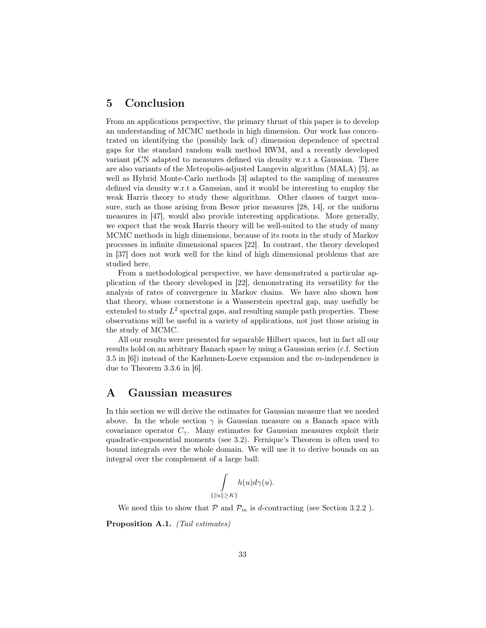# 5 Conclusion

From an applications perspective, the primary thrust of this paper is to develop an understanding of MCMC methods in high dimension. Our work has concentrated on identifying the (possibly lack of) dimension dependence of spectral gaps for the standard random walk method RWM, and a recently developed variant pCN adapted to measures defined via density w.r.t a Gaussian. There are also variants of the Metropolis-adjusted Langevin algorithm (MALA) [5], as well as Hybrid Monte-Carlo methods [3] adapted to the sampling of measures defined via density w.r.t a Gaussian, and it would be interesting to employ the weak Harris theory to study these algorithms. Other classes of target measure, such as those arising from Besov prior measures [28, 14], or the uniform measures in [47], would also provide interesting applications. More generally, we expect that the weak Harris theory will be well-suited to the study of many MCMC methods in high dimensions, because of its roots in the study of Markov processes in infinite dimensional spaces [22]. In contrast, the theory developed in [37] does not work well for the kind of high dimensional problems that are studied here.

From a methodological perspective, we have demonstrated a particular application of the theory developed in [22], demonstrating its versatility for the analysis of rates of convergence in Markov chains. We have also shown how that theory, whose cornerstone is a Wasserstein spectral gap, may usefully be extended to study  $L^2$  spectral gaps, and resulting sample path properties. These observations will be useful in a variety of applications, not just those arising in the study of MCMC.

All our results were presented for separable Hilbert spaces, but in fact all our results hold on an arbitrary Banach space by using a Gaussian series (c.f. Section 3.5 in [6]) instead of the Karhunen-Loeve expansion and the m-independence is due to Theorem 3.3.6 in [6].

## A Gaussian measures

In this section we will derive the estimates for Gaussian measure that we needed above. In the whole section  $\gamma$  is Gaussian measure on a Banach space with covariance operator  $C_{\gamma}$ . Many estimates for Gaussian measures exploit their quadratic-exponential moments (see 3.2). Fernique's Theorem is often used to bound integrals over the whole domain. We will use it to derive bounds on an integral over the complement of a large ball:

$$
\int_{\{|u\|\geq K\}} h(u)d\gamma(u).
$$

We need this to show that  $P$  and  $P_m$  is d-contracting (see Section 3.2.2).

Proposition A.1. (Tail estimates)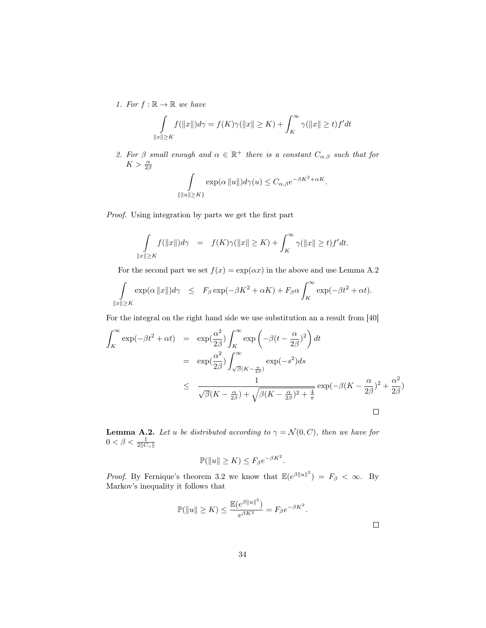1. For  $f : \mathbb{R} \to \mathbb{R}$  we have

$$
\int_{\|x\|\geq K} f(\|x\|) d\gamma = f(K)\gamma(\|x\|\geq K) + \int_K^\infty \gamma(\|x\|\geq t) f' dt
$$

2. For  $\beta$  small enough and  $\alpha \in \mathbb{R}^+$  there is a constant  $C_{\alpha,\beta}$  such that for  $K > \frac{\alpha}{2\beta}$ 

$$
\int_{\{\|u\|\geq K\}} \exp(\alpha \|u\|) d\gamma(u) \leq C_{\alpha,\beta} e^{-\beta K^2 + \alpha K}.
$$

Proof. Using integration by parts we get the first part

$$
\int_{\|x\|\geq K} f(\|x\|) d\gamma \quad = \quad f(K)\gamma(\|x\|\geq K) + \int_K^\infty \gamma(\|x\|\geq t) f' dt.
$$

For the second part we set  $f(x) = \exp(\alpha x)$  in the above and use Lemma A.2

$$
\int_{\|x\| \geq K} \exp(\alpha \|x\|) d\gamma \quad \leq \quad F_{\beta} \exp(-\beta K^2 + \alpha K) + F_{\beta} \alpha \int_K^{\infty} \exp(-\beta t^2 + \alpha t).
$$

For the integral on the right hand side we use substitution an a result from [40]

$$
\int_{K}^{\infty} \exp(-\beta t^{2} + \alpha t) = \exp(\frac{\alpha^{2}}{2\beta}) \int_{K}^{\infty} \exp\left(-\beta (t - \frac{\alpha}{2\beta})^{2}\right) dt
$$
  
\n
$$
= \exp(\frac{\alpha^{2}}{2\beta}) \int_{\sqrt{\beta}(K - \frac{\alpha}{2\beta})}^{\infty} \exp(-s^{2}) ds
$$
  
\n
$$
\leq \frac{1}{\sqrt{\beta}(K - \frac{\alpha}{2\beta}) + \sqrt{\beta(K - \frac{\alpha}{2\beta})^{2} + \frac{4}{\pi}}} \exp(-\beta (K - \frac{\alpha}{2\beta})^{2} + \frac{\alpha^{2}}{2\beta})
$$

**Lemma A.2.** Let u be distributed according to  $\gamma = \mathcal{N}(0, C)$ , then we have for  $0 < \beta < \frac{1}{2||C_{\gamma}||}$ 

$$
\mathbb{P}(\|u\| \ge K) \le F_{\beta}e^{-\beta K^2}.
$$

*Proof.* By Fernique's theorem 3.2 we know that  $\mathbb{E}(e^{\beta ||u||^2}) = F_{\beta} < \infty$ . By Markov's inequality it follows that

$$
\mathbb{P}(\|u\| \ge K) \le \frac{\mathbb{E}(e^{\beta \|u\|^2})}{e^{\beta K^2}} = F_{\beta}e^{-\beta K^2}.
$$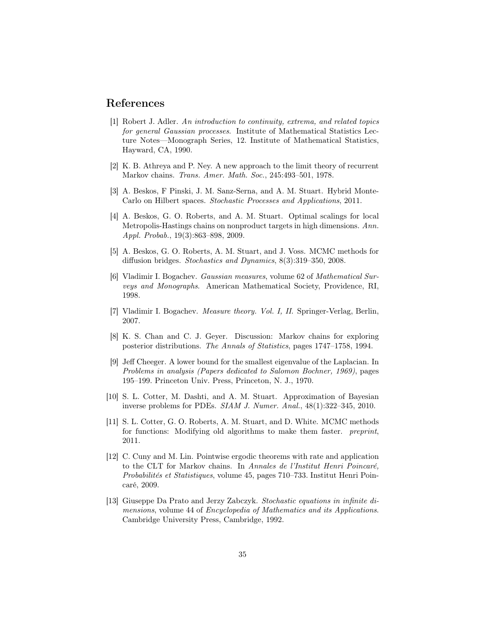## References

- [1] Robert J. Adler. An introduction to continuity, extrema, and related topics for general Gaussian processes. Institute of Mathematical Statistics Lecture Notes—Monograph Series, 12. Institute of Mathematical Statistics, Hayward, CA, 1990.
- [2] K. B. Athreya and P. Ney. A new approach to the limit theory of recurrent Markov chains. Trans. Amer. Math. Soc., 245:493–501, 1978.
- [3] A. Beskos, F Pinski, J. M. Sanz-Serna, and A. M. Stuart. Hybrid Monte-Carlo on Hilbert spaces. Stochastic Processes and Applications, 2011.
- [4] A. Beskos, G. O. Roberts, and A. M. Stuart. Optimal scalings for local Metropolis-Hastings chains on nonproduct targets in high dimensions. Ann. Appl. Probab., 19(3):863–898, 2009.
- [5] A. Beskos, G. O. Roberts, A. M. Stuart, and J. Voss. MCMC methods for diffusion bridges. Stochastics and Dynamics, 8(3):319–350, 2008.
- [6] Vladimir I. Bogachev. Gaussian measures, volume 62 of Mathematical Surveys and Monographs. American Mathematical Society, Providence, RI, 1998.
- [7] Vladimir I. Bogachev. Measure theory. Vol. I, II. Springer-Verlag, Berlin, 2007.
- [8] K. S. Chan and C. J. Geyer. Discussion: Markov chains for exploring posterior distributions. The Annals of Statistics, pages 1747–1758, 1994.
- [9] Jeff Cheeger. A lower bound for the smallest eigenvalue of the Laplacian. In Problems in analysis (Papers dedicated to Salomon Bochner, 1969), pages 195–199. Princeton Univ. Press, Princeton, N. J., 1970.
- [10] S. L. Cotter, M. Dashti, and A. M. Stuart. Approximation of Bayesian inverse problems for PDEs. SIAM J. Numer. Anal., 48(1):322–345, 2010.
- [11] S. L. Cotter, G. O. Roberts, A. M. Stuart, and D. White. MCMC methods for functions: Modifying old algorithms to make them faster. preprint, 2011.
- [12] C. Cuny and M. Lin. Pointwise ergodic theorems with rate and application to the CLT for Markov chains. In Annales de l'Institut Henri Poincaré, Probabilités et Statistiques, volume 45, pages 710–733. Institut Henri Poincaré, 2009.
- [13] Giuseppe Da Prato and Jerzy Zabczyk. Stochastic equations in infinite dimensions, volume 44 of Encyclopedia of Mathematics and its Applications. Cambridge University Press, Cambridge, 1992.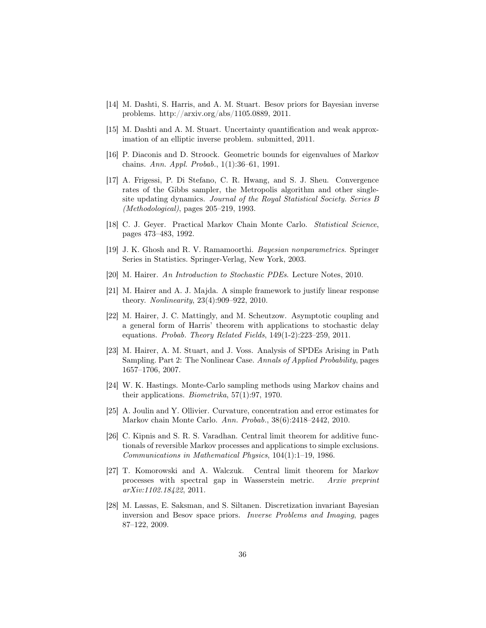- [14] M. Dashti, S. Harris, and A. M. Stuart. Besov priors for Bayesian inverse problems. http://arxiv.org/abs/1105.0889, 2011.
- [15] M. Dashti and A. M. Stuart. Uncertainty quantification and weak approximation of an elliptic inverse problem. submitted, 2011.
- [16] P. Diaconis and D. Stroock. Geometric bounds for eigenvalues of Markov chains. Ann. Appl. Probab., 1(1):36–61, 1991.
- [17] A. Frigessi, P. Di Stefano, C. R. Hwang, and S. J. Sheu. Convergence rates of the Gibbs sampler, the Metropolis algorithm and other singlesite updating dynamics. Journal of the Royal Statistical Society. Series B (Methodological), pages 205–219, 1993.
- [18] C. J. Geyer. Practical Markov Chain Monte Carlo. Statistical Science, pages 473–483, 1992.
- [19] J. K. Ghosh and R. V. Ramamoorthi. Bayesian nonparametrics. Springer Series in Statistics. Springer-Verlag, New York, 2003.
- [20] M. Hairer. An Introduction to Stochastic PDEs. Lecture Notes, 2010.
- [21] M. Hairer and A. J. Majda. A simple framework to justify linear response theory. Nonlinearity, 23(4):909–922, 2010.
- [22] M. Hairer, J. C. Mattingly, and M. Scheutzow. Asymptotic coupling and a general form of Harris' theorem with applications to stochastic delay equations. Probab. Theory Related Fields, 149(1-2):223–259, 2011.
- [23] M. Hairer, A. M. Stuart, and J. Voss. Analysis of SPDEs Arising in Path Sampling. Part 2: The Nonlinear Case. Annals of Applied Probability, pages 1657–1706, 2007.
- [24] W. K. Hastings. Monte-Carlo sampling methods using Markov chains and their applications. Biometrika, 57(1):97, 1970.
- [25] A. Joulin and Y. Ollivier. Curvature, concentration and error estimates for Markov chain Monte Carlo. Ann. Probab., 38(6):2418–2442, 2010.
- [26] C. Kipnis and S. R. S. Varadhan. Central limit theorem for additive functionals of reversible Markov processes and applications to simple exclusions. Communications in Mathematical Physics, 104(1):1–19, 1986.
- [27] T. Komorowski and A. Walczuk. Central limit theorem for Markov processes with spectral gap in Wasserstein metric. Arxiv preprint arXiv:1102.18422, 2011.
- [28] M. Lassas, E. Saksman, and S. Siltanen. Discretization invariant Bayesian inversion and Besov space priors. Inverse Problems and Imaging, pages 87–122, 2009.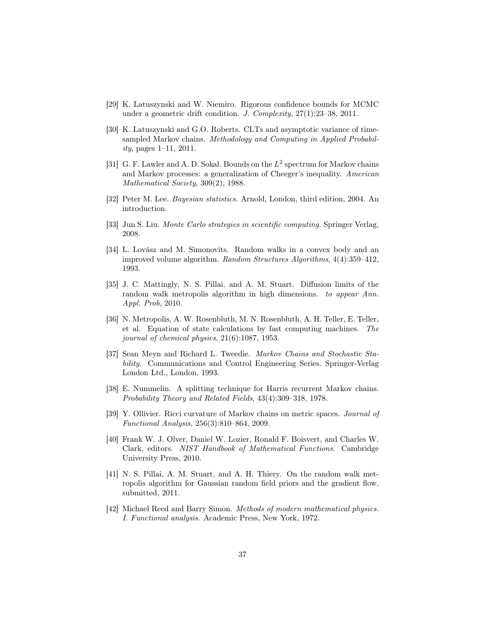- [29] K. Latuszynski and W. Niemiro. Rigorous confidence bounds for MCMC under a geometric drift condition. J. Complexity, 27(1):23–38, 2011.
- [30] K. Latuszynski and G.O. Roberts. CLTs and asymptotic variance of timesampled Markov chains. Methodology and Computing in Applied Probability, pages 1–11, 2011.
- [31] G. F. Lawler and A. D. Sokal. Bounds on the  $L^2$  spectrum for Markov chains and Markov processes: a generalization of Cheeger's inequality. American Mathematical Society, 309(2), 1988.
- [32] Peter M. Lee. Bayesian statistics. Arnold, London, third edition, 2004. An introduction.
- [33] Jun S. Liu. Monte Carlo strategies in scientific computing. Springer Verlag, 2008.
- [34] L. Lovász and M. Simonovits. Random walks in a convex body and an improved volume algorithm. Random Structures Algorithms, 4(4):359–412, 1993.
- [35] J. C. Mattingly, N. S. Pillai, and A. M. Stuart. Diffusion limits of the random walk metropolis algorithm in high dimensions. to appear Ann. Appl. Prob, 2010.
- [36] N. Metropolis, A. W. Rosenbluth, M. N. Rosenbluth, A. H. Teller, E. Teller, et al. Equation of state calculations by fast computing machines. The journal of chemical physics, 21(6):1087, 1953.
- [37] Sean Meyn and Richard L. Tweedie. Markov Chains and Stochastic Stability. Communications and Control Engineering Series. Springer-Verlag London Ltd., London, 1993.
- [38] E. Nummelin. A splitting technique for Harris recurrent Markov chains. Probability Theory and Related Fields, 43(4):309–318, 1978.
- [39] Y. Ollivier. Ricci curvature of Markov chains on metric spaces. Journal of Functional Analysis, 256(3):810–864, 2009.
- [40] Frank W. J. Olver, Daniel W. Lozier, Ronald F. Boisvert, and Charles W. Clark, editors. NIST Handbook of Mathematical Functions. Cambridge University Press, 2010.
- [41] N. S. Pillai, A. M. Stuart, and A. H. Thiery. On the random walk metropolis algorithm for Gaussian random field priors and the gradient flow. submitted, 2011.
- [42] Michael Reed and Barry Simon. Methods of modern mathematical physics. I. Functional analysis. Academic Press, New York, 1972.